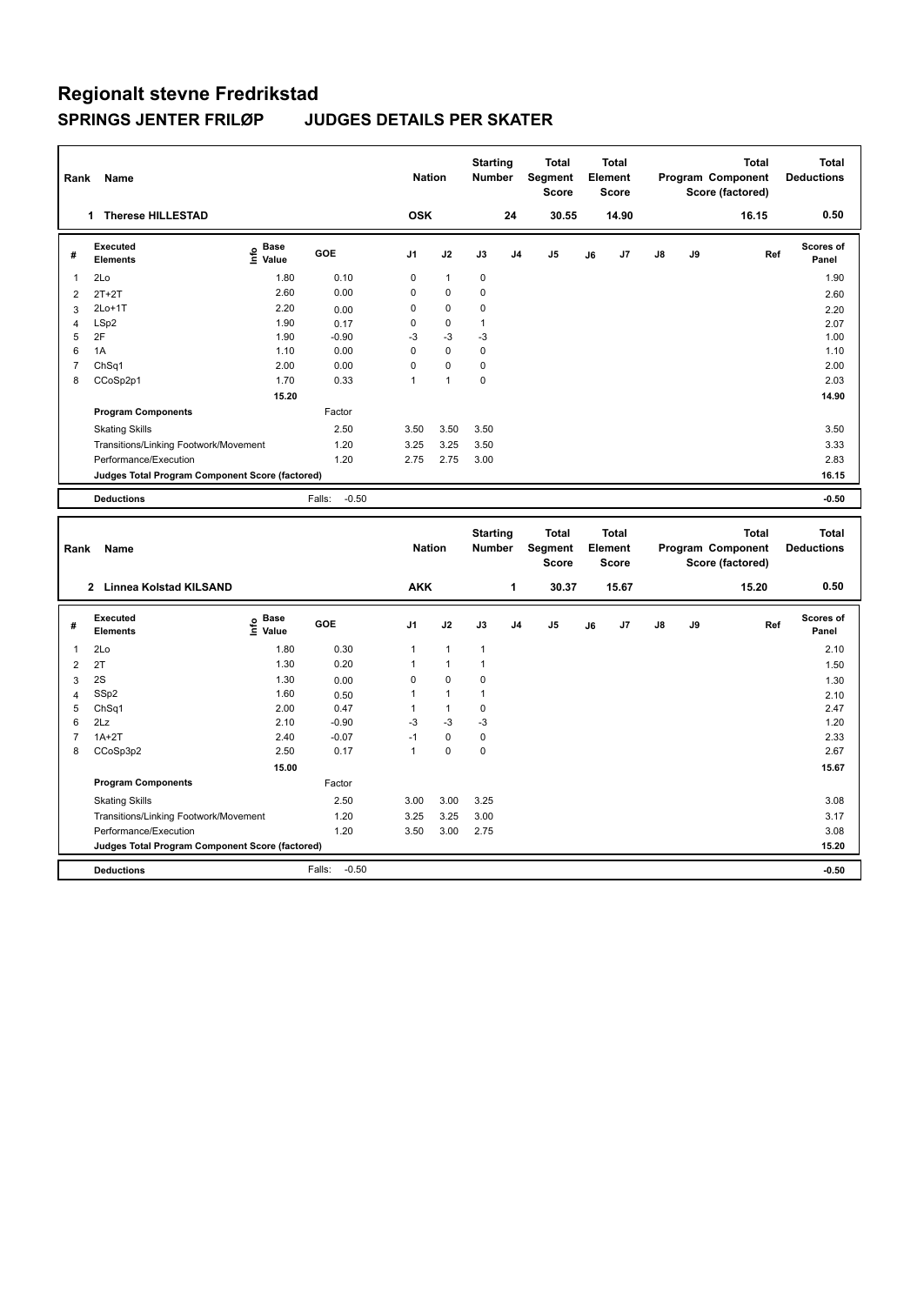| Rank                | Name                                            |                              |                   | <b>Nation</b>  |                   | <b>Starting</b><br><b>Number</b> |                | <b>Total</b><br>Segment<br><b>Score</b> |    | Total<br>Element<br><b>Score</b>        |    |    | <b>Total</b><br>Program Component<br>Score (factored) | <b>Total</b><br><b>Deductions</b> |
|---------------------|-------------------------------------------------|------------------------------|-------------------|----------------|-------------------|----------------------------------|----------------|-----------------------------------------|----|-----------------------------------------|----|----|-------------------------------------------------------|-----------------------------------|
|                     | 1 Therese HILLESTAD                             |                              |                   | <b>OSK</b>     |                   |                                  | 24             | 30.55                                   |    | 14.90                                   |    |    | 16.15                                                 | 0.50                              |
| #                   | <b>Executed</b><br><b>Elements</b>              | <b>Base</b><br>١nfo<br>Value | GOE               | J <sub>1</sub> | J2                | J3                               | J <sub>4</sub> | J5                                      | J6 | J7                                      | J8 | J9 | Ref                                                   | Scores of<br>Panel                |
| 1                   | 2Lo                                             | 1.80                         | 0.10              | $\pmb{0}$      | $\mathbf{1}$      | $\mathbf 0$                      |                |                                         |    |                                         |    |    |                                                       | 1.90                              |
| $\overline{2}$      | $2T+2T$                                         | 2.60                         | 0.00              | 0              | 0                 | 0                                |                |                                         |    |                                         |    |    |                                                       | 2.60                              |
| 3                   | $2Lo+1T$                                        | 2.20                         | 0.00              | 0              | 0                 | 0                                |                |                                         |    |                                         |    |    |                                                       | 2.20                              |
| $\overline{4}$      | LSp2                                            | 1.90                         | 0.17              | 0              | 0                 | $\mathbf{1}$                     |                |                                         |    |                                         |    |    |                                                       | 2.07                              |
| 5                   | 2F                                              | 1.90                         | $-0.90$           | $-3$           | $-3$              | $-3$                             |                |                                         |    |                                         |    |    |                                                       | 1.00                              |
| 6                   | 1A                                              | 1.10                         | 0.00              | 0              | 0                 | 0                                |                |                                         |    |                                         |    |    |                                                       | 1.10                              |
| $\overline{7}$<br>8 | ChSq1                                           | 2.00<br>1.70                 | 0.00<br>0.33      | 0<br>1         | 0<br>$\mathbf{1}$ | 0<br>0                           |                |                                         |    |                                         |    |    |                                                       | 2.00<br>2.03                      |
|                     | CCoSp2p1                                        |                              |                   |                |                   |                                  |                |                                         |    |                                         |    |    |                                                       |                                   |
|                     |                                                 | 15.20                        | Factor            |                |                   |                                  |                |                                         |    |                                         |    |    |                                                       | 14.90                             |
|                     | <b>Program Components</b>                       |                              |                   |                |                   |                                  |                |                                         |    |                                         |    |    |                                                       |                                   |
|                     | <b>Skating Skills</b>                           |                              | 2.50              | 3.50           | 3.50              | 3.50                             |                |                                         |    |                                         |    |    |                                                       | 3.50                              |
|                     | Transitions/Linking Footwork/Movement           |                              | 1.20              | 3.25           | 3.25              | 3.50                             |                |                                         |    |                                         |    |    |                                                       | 3.33                              |
|                     | Performance/Execution                           |                              | 1.20              | 2.75           | 2.75              | 3.00                             |                |                                         |    |                                         |    |    |                                                       | 2.83                              |
|                     | Judges Total Program Component Score (factored) |                              |                   |                |                   |                                  |                |                                         |    |                                         |    |    |                                                       | 16.15                             |
|                     | <b>Deductions</b>                               |                              | $-0.50$<br>Falls: |                |                   |                                  |                |                                         |    |                                         |    |    |                                                       | $-0.50$                           |
|                     |                                                 |                              |                   |                |                   |                                  |                |                                         |    |                                         |    |    |                                                       |                                   |
| Rank                | Name                                            |                              |                   | <b>Nation</b>  |                   | <b>Starting</b><br>Number        |                | <b>Total</b><br>Segment<br><b>Score</b> |    | <b>Total</b><br>Element<br><b>Score</b> |    |    | <b>Total</b><br>Program Component<br>Score (factored) | <b>Total</b><br><b>Deductions</b> |
|                     | 2 Linnea Kolstad KILSAND                        |                              |                   | <b>AKK</b>     |                   |                                  | 1              | 30.37                                   |    | 15.67                                   |    |    | 15.20                                                 | 0.50                              |
| #                   | <b>Executed</b><br><b>Elements</b>              | Base<br>e Base<br>⊆ Value    | GOE               | J <sub>1</sub> | J2                | J3                               | J <sub>4</sub> | J5                                      | J6 | J7                                      | J8 | J9 | Ref                                                   | Scores of<br>Panel                |
| 1                   |                                                 | 1.80                         | 0.30              | 1              | $\mathbf{1}$      | $\mathbf{1}$                     |                |                                         |    |                                         |    |    |                                                       | 2.10                              |
| $\overline{2}$      | 2Lo<br>2T                                       | 1.30                         | 0.20              | $\mathbf{1}$   | $\mathbf{1}$      | $\mathbf{1}$                     |                |                                         |    |                                         |    |    |                                                       | 1.50                              |
| 3                   | 2S                                              | 1.30                         | 0.00              | 0              | $\pmb{0}$         | 0                                |                |                                         |    |                                         |    |    |                                                       | 1.30                              |
| $\overline{4}$      | SSp2                                            | 1.60                         | 0.50              | $\mathbf{1}$   | $\mathbf{1}$      | $\mathbf{1}$                     |                |                                         |    |                                         |    |    |                                                       | 2.10                              |
| 5                   | ChSq1                                           | 2.00                         | 0.47              | 1              | $\mathbf{1}$      | $\pmb{0}$                        |                |                                         |    |                                         |    |    |                                                       | 2.47                              |
| 6                   | 2Lz                                             | 2.10                         | $-0.90$           | $-3$           | $-3$              | $-3$                             |                |                                         |    |                                         |    |    |                                                       | 1.20                              |
| $\overline{7}$      | $1A+2T$                                         | 2.40                         | $-0.07$           | $-1$           | $\pmb{0}$         | 0                                |                |                                         |    |                                         |    |    |                                                       | 2.33                              |
| 8                   | CCoSp3p2                                        | 2.50                         | 0.17              | $\mathbf{1}$   | $\mathbf 0$       | $\mathbf 0$                      |                |                                         |    |                                         |    |    |                                                       | 2.67                              |
|                     |                                                 | 15.00                        |                   |                |                   |                                  |                |                                         |    |                                         |    |    |                                                       | 15.67                             |
|                     | <b>Program Components</b>                       |                              | Factor            |                |                   |                                  |                |                                         |    |                                         |    |    |                                                       |                                   |
|                     | <b>Skating Skills</b>                           |                              | 2.50              | 3.00           | 3.00              | 3.25                             |                |                                         |    |                                         |    |    |                                                       | 3.08                              |
|                     | Transitions/Linking Footwork/Movement           |                              | 1.20              | 3.25           | 3.25              | 3.00                             |                |                                         |    |                                         |    |    |                                                       | 3.17                              |
|                     | Performance/Execution                           |                              | 1.20              | 3.50           | 3.00              | 2.75                             |                |                                         |    |                                         |    |    |                                                       | 3.08                              |
|                     | Judges Total Program Component Score (factored) |                              |                   |                |                   |                                  |                |                                         |    |                                         |    |    |                                                       | 15.20                             |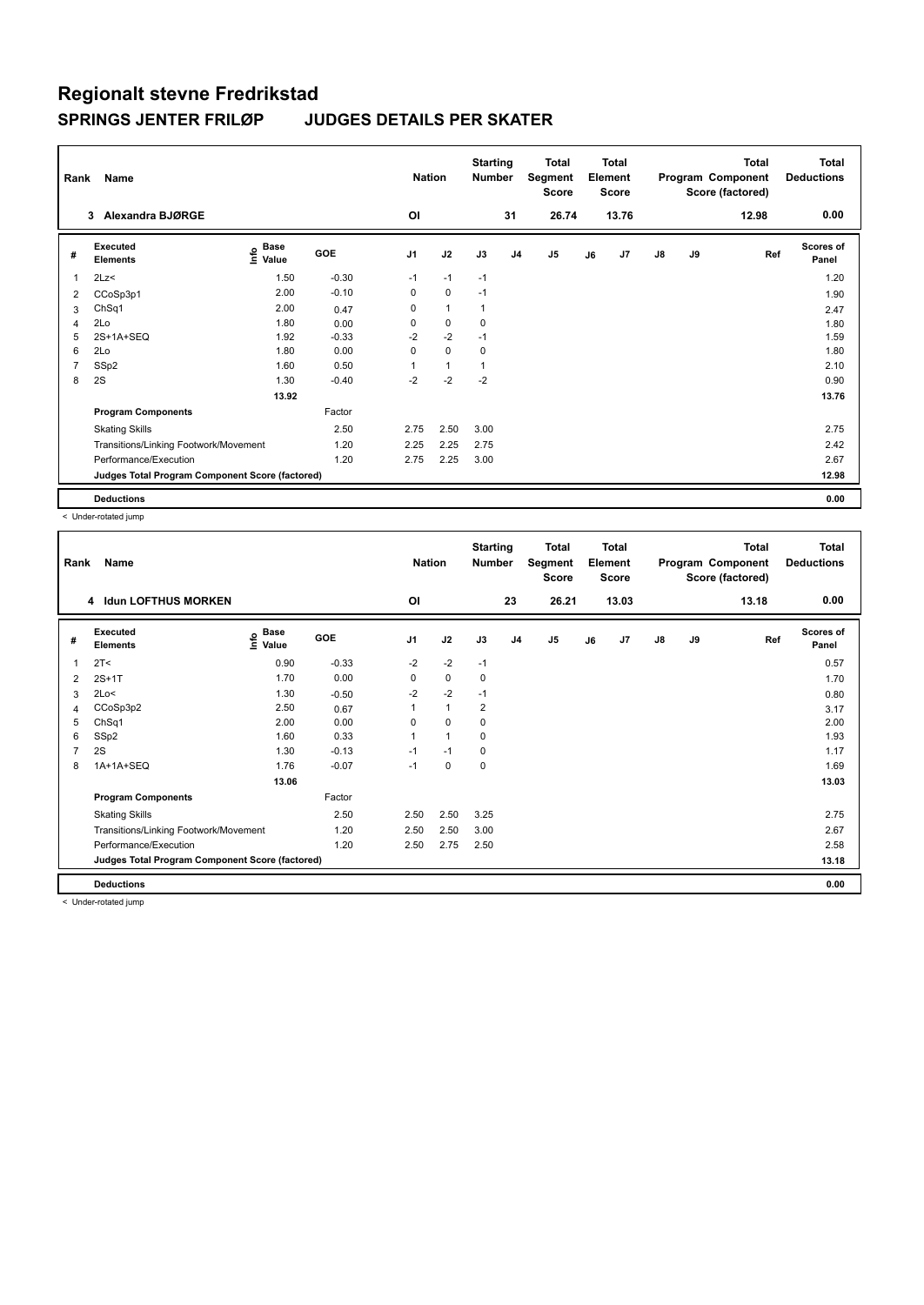| Rank           | Name                                            |                                           |            | <b>Nation</b>  |              | <b>Starting</b><br><b>Number</b> |                | <b>Total</b><br>Segment<br><b>Score</b> |    | <b>Total</b><br>Element<br><b>Score</b> |               |    | Total<br>Program Component<br>Score (factored) | <b>Total</b><br><b>Deductions</b> |
|----------------|-------------------------------------------------|-------------------------------------------|------------|----------------|--------------|----------------------------------|----------------|-----------------------------------------|----|-----------------------------------------|---------------|----|------------------------------------------------|-----------------------------------|
|                | Alexandra BJØRGE<br>3                           |                                           |            | ΟI             |              |                                  | 31             | 26.74                                   |    | 13.76                                   |               |    | 12.98                                          | 0.00                              |
| #              | Executed<br><b>Elements</b>                     | $\frac{6}{5}$ Base<br>$\frac{1}{5}$ Value | <b>GOE</b> | J <sub>1</sub> | J2           | J3                               | J <sub>4</sub> | J <sub>5</sub>                          | J6 | J7                                      | $\mathsf{J}8$ | J9 | Ref                                            | <b>Scores of</b><br>Panel         |
| 1              | 2Lz<                                            | 1.50                                      | $-0.30$    | $-1$           | $-1$         | $-1$                             |                |                                         |    |                                         |               |    |                                                | 1.20                              |
| 2              | CCoSp3p1                                        | 2.00                                      | $-0.10$    | 0              | $\mathbf 0$  | $-1$                             |                |                                         |    |                                         |               |    |                                                | 1.90                              |
| 3              | ChSq1                                           | 2.00                                      | 0.47       | 0              | $\mathbf{1}$ | $\mathbf{1}$                     |                |                                         |    |                                         |               |    |                                                | 2.47                              |
| 4              | 2Lo                                             | 1.80                                      | 0.00       | 0              | 0            | 0                                |                |                                         |    |                                         |               |    |                                                | 1.80                              |
| 5              | 2S+1A+SEQ                                       | 1.92                                      | $-0.33$    | $-2$           | $-2$         | $-1$                             |                |                                         |    |                                         |               |    |                                                | 1.59                              |
| 6              | 2Lo                                             | 1.80                                      | 0.00       | 0              | $\mathbf 0$  | 0                                |                |                                         |    |                                         |               |    |                                                | 1.80                              |
| $\overline{7}$ | SSp2                                            | 1.60                                      | 0.50       | 1              | $\mathbf{1}$ | 1                                |                |                                         |    |                                         |               |    |                                                | 2.10                              |
| 8              | 2S                                              | 1.30                                      | $-0.40$    | $-2$           | $-2$         | $-2$                             |                |                                         |    |                                         |               |    |                                                | 0.90                              |
|                |                                                 | 13.92                                     |            |                |              |                                  |                |                                         |    |                                         |               |    |                                                | 13.76                             |
|                | <b>Program Components</b>                       |                                           | Factor     |                |              |                                  |                |                                         |    |                                         |               |    |                                                |                                   |
|                | <b>Skating Skills</b>                           |                                           | 2.50       | 2.75           | 2.50         | 3.00                             |                |                                         |    |                                         |               |    |                                                | 2.75                              |
|                | Transitions/Linking Footwork/Movement           |                                           | 1.20       | 2.25           | 2.25         | 2.75                             |                |                                         |    |                                         |               |    |                                                | 2.42                              |
|                | Performance/Execution                           |                                           | 1.20       | 2.75           | 2.25         | 3.00                             |                |                                         |    |                                         |               |    |                                                | 2.67                              |
|                | Judges Total Program Component Score (factored) |                                           |            |                |              |                                  |                |                                         |    |                                         |               |    |                                                | 12.98                             |
|                | <b>Deductions</b>                               |                                           |            |                |              |                                  |                |                                         |    |                                         |               |    |                                                | 0.00                              |

< Under-rotated jump

| Rank           | Name                                            |                   |         | <b>Nation</b>  |              | <b>Starting</b><br><b>Number</b> |                | <b>Total</b><br>Segment<br><b>Score</b> |    | <b>Total</b><br>Element<br><b>Score</b> |               |    | <b>Total</b><br>Program Component<br>Score (factored) | Total<br><b>Deductions</b> |
|----------------|-------------------------------------------------|-------------------|---------|----------------|--------------|----------------------------------|----------------|-----------------------------------------|----|-----------------------------------------|---------------|----|-------------------------------------------------------|----------------------------|
|                | 4 Idun LOFTHUS MORKEN                           |                   |         | 0I             |              |                                  | 23             | 26.21                                   |    | 13.03                                   |               |    | 13.18                                                 | 0.00                       |
| #              | Executed<br><b>Elements</b>                     | e Base<br>⊑ Value | GOE     | J <sub>1</sub> | J2           | J3                               | J <sub>4</sub> | J <sub>5</sub>                          | J6 | J7                                      | $\mathsf{J}8$ | J9 | Ref                                                   | <b>Scores of</b><br>Panel  |
| 1              | 2T <                                            | 0.90              | $-0.33$ | $-2$           | $-2$         | $-1$                             |                |                                         |    |                                         |               |    |                                                       | 0.57                       |
| 2              | $2S+1T$                                         | 1.70              | 0.00    | 0              | 0            | 0                                |                |                                         |    |                                         |               |    |                                                       | 1.70                       |
| 3              | 2Lo<                                            | 1.30              | $-0.50$ | $-2$           | $-2$         | $-1$                             |                |                                         |    |                                         |               |    |                                                       | 0.80                       |
| 4              | CCoSp3p2                                        | 2.50              | 0.67    | 1              | $\mathbf{1}$ | $\overline{2}$                   |                |                                         |    |                                         |               |    |                                                       | 3.17                       |
| 5              | ChSq1                                           | 2.00              | 0.00    | 0              | $\mathbf 0$  | 0                                |                |                                         |    |                                         |               |    |                                                       | 2.00                       |
| 6              | SSp2                                            | 1.60              | 0.33    | 1              | $\mathbf{1}$ | 0                                |                |                                         |    |                                         |               |    |                                                       | 1.93                       |
| $\overline{7}$ | 2S                                              | 1.30              | $-0.13$ | $-1$           | $-1$         | 0                                |                |                                         |    |                                         |               |    |                                                       | 1.17                       |
| 8              | 1A+1A+SEQ                                       | 1.76              | $-0.07$ | $-1$           | 0            | 0                                |                |                                         |    |                                         |               |    |                                                       | 1.69                       |
|                |                                                 | 13.06             |         |                |              |                                  |                |                                         |    |                                         |               |    |                                                       | 13.03                      |
|                | <b>Program Components</b>                       |                   | Factor  |                |              |                                  |                |                                         |    |                                         |               |    |                                                       |                            |
|                | <b>Skating Skills</b>                           |                   | 2.50    | 2.50           | 2.50         | 3.25                             |                |                                         |    |                                         |               |    |                                                       | 2.75                       |
|                | Transitions/Linking Footwork/Movement           |                   | 1.20    | 2.50           | 2.50         | 3.00                             |                |                                         |    |                                         |               |    |                                                       | 2.67                       |
|                | Performance/Execution                           |                   | 1.20    | 2.50           | 2.75         | 2.50                             |                |                                         |    |                                         |               |    |                                                       | 2.58                       |
|                | Judges Total Program Component Score (factored) |                   |         |                |              |                                  |                |                                         |    |                                         |               |    |                                                       | 13.18                      |
|                | <b>Deductions</b>                               |                   |         |                |              |                                  |                |                                         |    |                                         |               |    |                                                       | 0.00                       |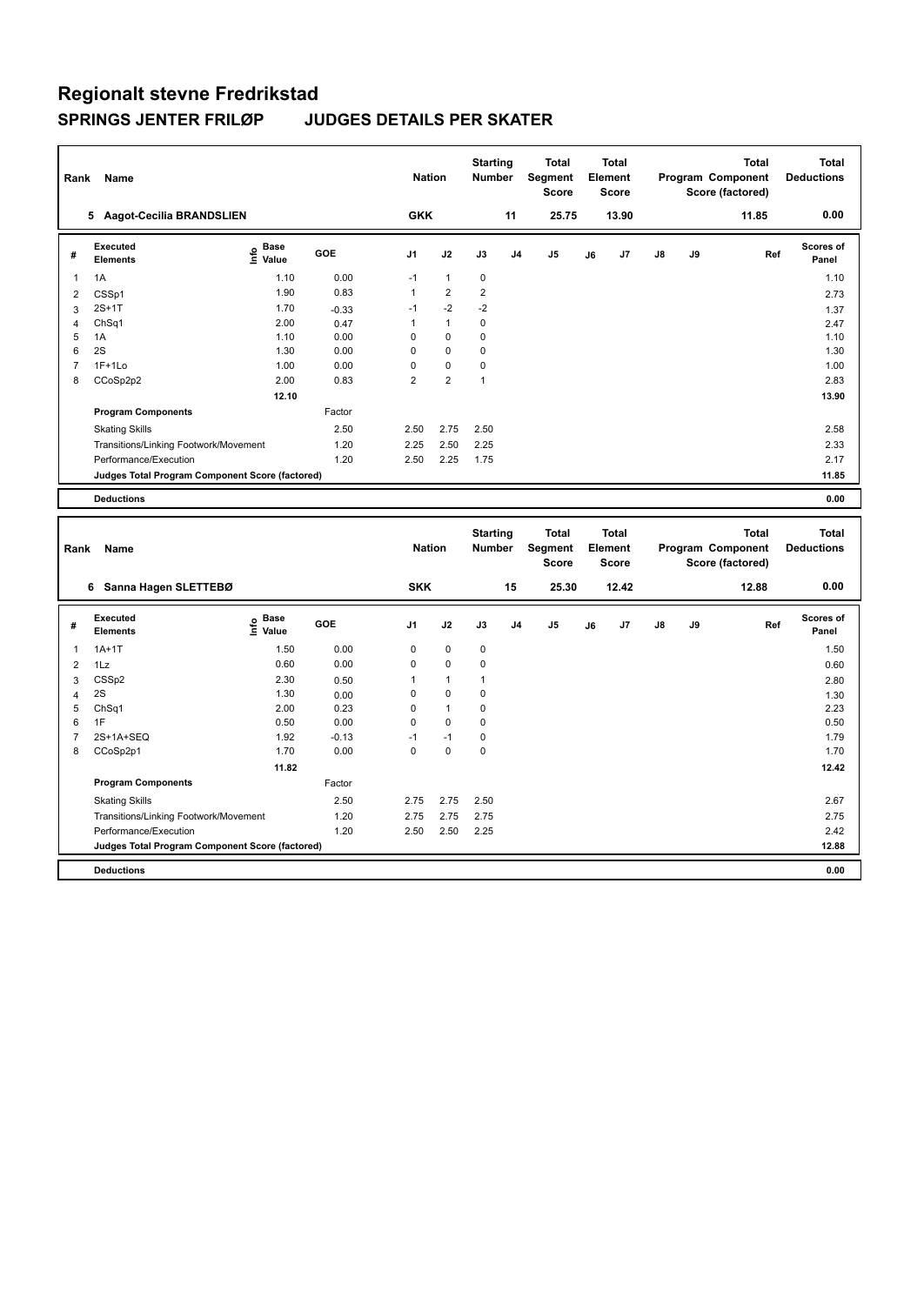| Rank                | Name                                            |                                  |            | <b>Nation</b>       |                               | <b>Starting</b><br>Number        |    | <b>Total</b><br>Segment<br><b>Score</b> |    | <b>Total</b><br>Element<br><b>Score</b> |    |    | <b>Total</b><br>Program Component<br>Score (factored) | <b>Total</b><br><b>Deductions</b> |
|---------------------|-------------------------------------------------|----------------------------------|------------|---------------------|-------------------------------|----------------------------------|----|-----------------------------------------|----|-----------------------------------------|----|----|-------------------------------------------------------|-----------------------------------|
|                     | 5 Aagot-Cecilia BRANDSLIEN                      |                                  |            | <b>GKK</b>          |                               |                                  | 11 | 25.75                                   |    | 13.90                                   |    |    | 11.85                                                 | 0.00                              |
| #                   | <b>Executed</b><br><b>Elements</b>              | <b>Base</b><br>۴٥<br>Value       | <b>GOE</b> | J1                  | J2                            | J3                               | J4 | J5                                      | J6 | J7                                      | J8 | J9 | Ref                                                   | Scores of<br>Panel                |
| 1                   | 1A                                              | 1.10                             | 0.00       | $-1$                | $\mathbf{1}$                  | $\pmb{0}$                        |    |                                         |    |                                         |    |    |                                                       | 1.10                              |
| $\overline{2}$      | CSSp1                                           | 1.90                             | 0.83       | $\mathbf{1}$        | $\overline{2}$                | $\mathbf 2$                      |    |                                         |    |                                         |    |    |                                                       | 2.73                              |
| 3                   | $2S+1T$                                         | 1.70                             | $-0.33$    | $-1$                | $-2$                          | $-2$                             |    |                                         |    |                                         |    |    |                                                       | 1.37                              |
| $\overline{4}$      | ChSq1                                           | 2.00                             | 0.47       | $\mathbf{1}$        | $\overline{1}$                | $\pmb{0}$                        |    |                                         |    |                                         |    |    |                                                       | 2.47                              |
| 5                   | 1A                                              | 1.10                             | 0.00       | $\mathbf 0$         | $\mathbf 0$                   | $\mathbf 0$                      |    |                                         |    |                                         |    |    |                                                       | 1.10                              |
| 6                   | 2S                                              | 1.30                             | 0.00       | 0                   | $\Omega$                      | 0                                |    |                                         |    |                                         |    |    |                                                       | 1.30                              |
| $\overline{7}$<br>8 | $1F+1Lo$                                        | 1.00<br>2.00                     | 0.00       | 0<br>$\overline{2}$ | $\mathbf 0$<br>$\overline{2}$ | $\mathbf 0$<br>$\mathbf{1}$      |    |                                         |    |                                         |    |    |                                                       | 1.00<br>2.83                      |
|                     | CCoSp2p2                                        |                                  | 0.83       |                     |                               |                                  |    |                                         |    |                                         |    |    |                                                       |                                   |
|                     |                                                 | 12.10                            |            |                     |                               |                                  |    |                                         |    |                                         |    |    |                                                       | 13.90                             |
|                     | <b>Program Components</b>                       |                                  | Factor     |                     |                               |                                  |    |                                         |    |                                         |    |    |                                                       |                                   |
|                     | <b>Skating Skills</b>                           |                                  | 2.50       | 2.50                | 2.75                          | 2.50                             |    |                                         |    |                                         |    |    |                                                       | 2.58                              |
|                     | Transitions/Linking Footwork/Movement           |                                  | 1.20       | 2.25                | 2.50                          | 2.25                             |    |                                         |    |                                         |    |    |                                                       | 2.33                              |
|                     | Performance/Execution                           |                                  | 1.20       | 2.50                | 2.25                          | 1.75                             |    |                                         |    |                                         |    |    |                                                       | 2.17                              |
|                     | Judges Total Program Component Score (factored) |                                  |            |                     |                               |                                  |    |                                         |    |                                         |    |    |                                                       | 11.85                             |
|                     | <b>Deductions</b>                               |                                  |            |                     |                               |                                  |    |                                         |    |                                         |    |    |                                                       | 0.00                              |
|                     |                                                 |                                  |            |                     |                               |                                  |    |                                         |    |                                         |    |    |                                                       |                                   |
| Rank                | Name                                            |                                  |            | <b>Nation</b>       |                               | <b>Starting</b><br><b>Number</b> |    | <b>Total</b><br>Segment<br><b>Score</b> |    | <b>Total</b><br>Element<br><b>Score</b> |    |    | <b>Total</b><br>Program Component<br>Score (factored) | <b>Total</b><br><b>Deductions</b> |
|                     | 6 Sanna Hagen SLETTEBØ                          |                                  |            | <b>SKK</b>          |                               |                                  | 15 | 25.30                                   |    | 12.42                                   |    |    | 12.88                                                 | 0.00                              |
| #                   | Executed<br><b>Elements</b>                     | <b>Base</b><br>e Base<br>⊆ Value | <b>GOE</b> | J1                  | J2                            | J3                               | J4 | J <sub>5</sub>                          | J6 | J7                                      | J8 | J9 | Ref                                                   | Scores of<br>Panel                |
| 1                   | $1A+1T$                                         | 1.50                             | 0.00       | 0                   | $\mathbf 0$                   | $\pmb{0}$                        |    |                                         |    |                                         |    |    |                                                       | 1.50                              |
| $\overline{2}$      | 1Lz                                             | 0.60                             | 0.00       | $\mathbf 0$         | $\mathbf 0$                   | $\mathbf 0$                      |    |                                         |    |                                         |    |    |                                                       | 0.60                              |
| 3                   | CSSp2                                           | 2.30                             | 0.50       | 1                   | $\mathbf{1}$                  | $\mathbf{1}$                     |    |                                         |    |                                         |    |    |                                                       | 2.80                              |
| $\overline{4}$      | 2S                                              | 1.30                             | 0.00       | $\mathsf 0$         | $\pmb{0}$                     | $\mathbf 0$                      |    |                                         |    |                                         |    |    |                                                       | 1.30                              |
| 5                   | Ch <sub>Sq1</sub>                               | 2.00                             | 0.23       | $\mathbf 0$         | $\overline{1}$                | $\mathbf 0$                      |    |                                         |    |                                         |    |    |                                                       | 2.23                              |
| 6                   | 1F                                              | 0.50                             | 0.00       | 0                   | $\pmb{0}$                     | $\pmb{0}$                        |    |                                         |    |                                         |    |    |                                                       | 0.50                              |
| $\overline{7}$      | 2S+1A+SEQ                                       | 1.92                             | $-0.13$    | $-1$                | $-1$                          | $\pmb{0}$                        |    |                                         |    |                                         |    |    |                                                       | 1.79                              |
| 8                   | CCoSp2p1                                        | 1.70                             | 0.00       | $\Omega$            | $\mathbf 0$                   | $\mathbf 0$                      |    |                                         |    |                                         |    |    |                                                       | 1.70                              |
|                     |                                                 | 11.82                            |            |                     |                               |                                  |    |                                         |    |                                         |    |    |                                                       | 12.42                             |
|                     | <b>Program Components</b>                       |                                  | Factor     |                     |                               |                                  |    |                                         |    |                                         |    |    |                                                       |                                   |
|                     | <b>Skating Skills</b>                           |                                  | 2.50       | 2.75                | 2.75                          | 2.50                             |    |                                         |    |                                         |    |    |                                                       | 2.67                              |
|                     | Transitions/Linking Footwork/Movement           |                                  | 1.20       | 2.75                | 2.75                          | 2.75                             |    |                                         |    |                                         |    |    |                                                       | 2.75                              |
|                     | Performance/Execution                           |                                  | 1.20       | 2.50                | 2.50                          | 2.25                             |    |                                         |    |                                         |    |    |                                                       | 2.42                              |
|                     | Judges Total Program Component Score (factored) |                                  |            |                     |                               |                                  |    |                                         |    |                                         |    |    |                                                       | 12.88                             |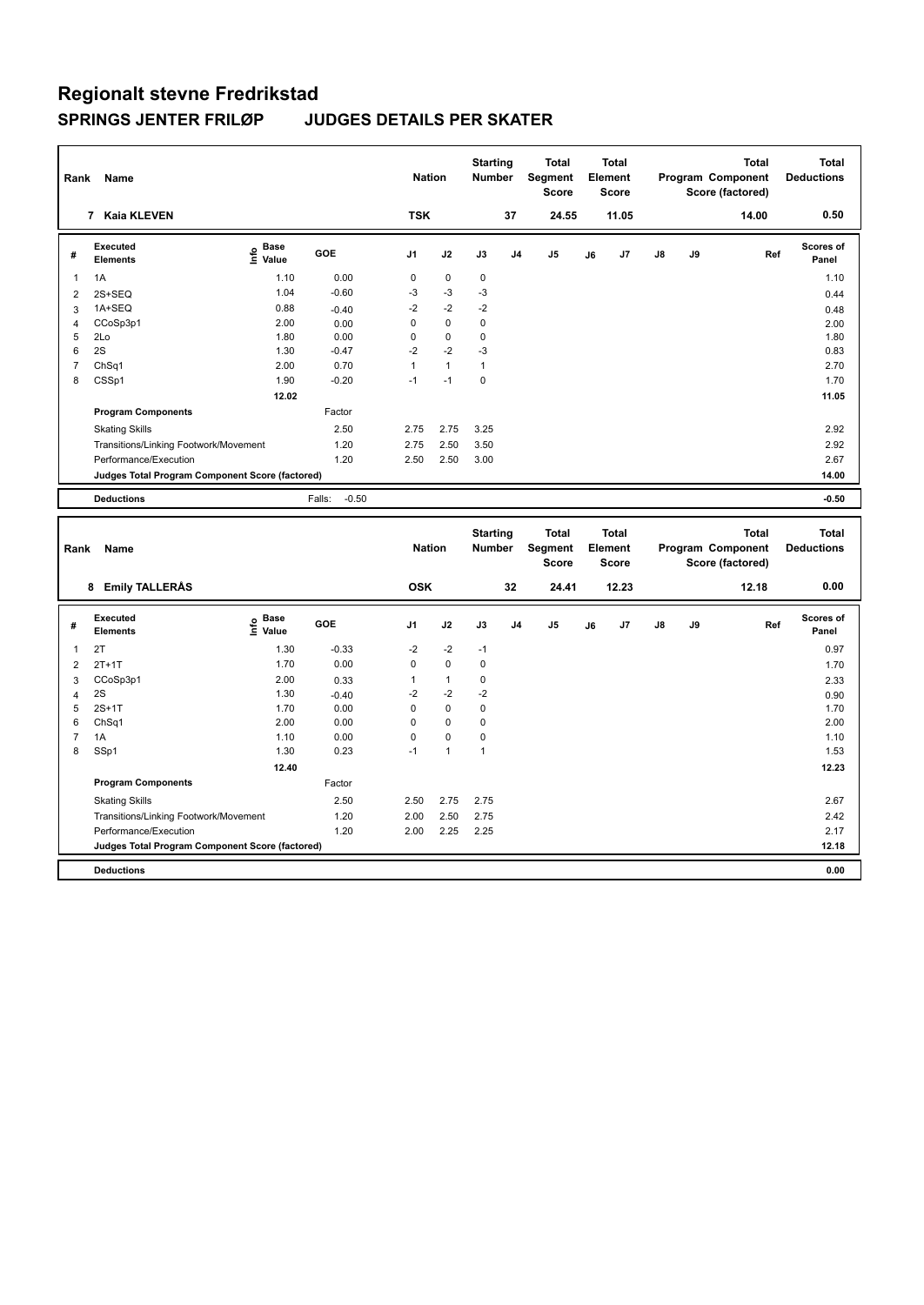| Rank           | Name                                                           |                              |                   | <b>Nation</b>        |                   | <b>Starting</b><br><b>Number</b> |                | <b>Total</b><br>Segment<br><b>Score</b> |    | <b>Total</b><br>Element<br><b>Score</b> |    |    | <b>Total</b><br>Program Component<br>Score (factored) | <b>Total</b><br><b>Deductions</b> |
|----------------|----------------------------------------------------------------|------------------------------|-------------------|----------------------|-------------------|----------------------------------|----------------|-----------------------------------------|----|-----------------------------------------|----|----|-------------------------------------------------------|-----------------------------------|
|                | 7 Kaia KLEVEN                                                  |                              |                   | <b>TSK</b>           |                   |                                  | 37             | 24.55                                   |    | 11.05                                   |    |    | 14.00                                                 | 0.50                              |
| #              | <b>Executed</b><br><b>Elements</b>                             | <b>Base</b><br>١nfo<br>Value | GOE               | J <sub>1</sub>       | J2                | J3                               | J <sub>4</sub> | J5                                      | J6 | J7                                      | J8 | J9 | Ref                                                   | Scores of<br>Panel                |
| 1              | 1A                                                             | 1.10                         | 0.00              | 0                    | $\mathbf 0$       | 0                                |                |                                         |    |                                         |    |    |                                                       | 1.10                              |
| 2              | 2S+SEQ                                                         | 1.04                         | $-0.60$           | $-3$                 | $-3$              | $-3$                             |                |                                         |    |                                         |    |    |                                                       | 0.44                              |
| 3              | 1A+SEQ                                                         | 0.88                         | $-0.40$           | $-2$                 | $-2$              | $-2$                             |                |                                         |    |                                         |    |    |                                                       | 0.48                              |
| 4              | CCoSp3p1                                                       | 2.00                         | 0.00              | 0                    | $\mathbf 0$       | $\pmb{0}$                        |                |                                         |    |                                         |    |    |                                                       | 2.00                              |
| 5              | 2Lo                                                            | 1.80                         | 0.00              | 0                    | $\mathbf 0$       | $\mathbf 0$                      |                |                                         |    |                                         |    |    |                                                       | 1.80                              |
| 6              | 2S                                                             | 1.30                         | $-0.47$           | $-2$                 | $-2$              | $-3$                             |                |                                         |    |                                         |    |    |                                                       | 0.83                              |
| $\overline{7}$ | ChSq1                                                          | 2.00                         | 0.70              | $\mathbf{1}$<br>$-1$ | $\mathbf{1}$      | $\mathbf{1}$                     |                |                                         |    |                                         |    |    |                                                       | 2.70                              |
| 8              | CSSp1                                                          | 1.90                         | $-0.20$           |                      | $-1$              | $\pmb{0}$                        |                |                                         |    |                                         |    |    |                                                       | 1.70                              |
|                |                                                                | 12.02                        |                   |                      |                   |                                  |                |                                         |    |                                         |    |    |                                                       | 11.05                             |
|                | <b>Program Components</b>                                      |                              | Factor            |                      |                   |                                  |                |                                         |    |                                         |    |    |                                                       |                                   |
|                | <b>Skating Skills</b>                                          |                              | 2.50              | 2.75                 | 2.75              | 3.25                             |                |                                         |    |                                         |    |    |                                                       | 2.92                              |
|                | Transitions/Linking Footwork/Movement                          |                              | 1.20              | 2.75                 | 2.50              | 3.50                             |                |                                         |    |                                         |    |    |                                                       | 2.92                              |
|                | Performance/Execution                                          |                              | 1.20              | 2.50                 | 2.50              | 3.00                             |                |                                         |    |                                         |    |    |                                                       | 2.67                              |
|                | Judges Total Program Component Score (factored)                |                              |                   |                      |                   |                                  |                |                                         |    |                                         |    |    |                                                       | 14.00                             |
|                | <b>Deductions</b>                                              |                              | $-0.50$<br>Falls: |                      |                   |                                  |                |                                         |    |                                         |    |    |                                                       | $-0.50$                           |
|                |                                                                |                              |                   |                      |                   |                                  |                |                                         |    |                                         |    |    |                                                       |                                   |
|                |                                                                |                              |                   |                      |                   |                                  |                |                                         |    |                                         |    |    |                                                       |                                   |
| Rank           | Name                                                           |                              |                   | <b>Nation</b>        |                   | <b>Starting</b><br><b>Number</b> |                | <b>Total</b><br>Segment<br><b>Score</b> |    | <b>Total</b><br>Element<br><b>Score</b> |    |    | <b>Total</b><br>Program Component<br>Score (factored) | <b>Total</b><br><b>Deductions</b> |
|                | 8 Emily TALLERAS                                               |                              |                   | <b>OSK</b>           |                   |                                  | 32             | 24.41                                   |    | 12.23                                   |    |    | 12.18                                                 | 0.00                              |
|                |                                                                |                              |                   |                      |                   |                                  |                |                                         |    |                                         |    |    |                                                       |                                   |
| #              | <b>Executed</b><br><b>Elements</b>                             |                              | GOE               | J1                   | J2                | J3                               | J4             | J5                                      | J6 | J7                                      | J8 | J9 | Ref                                                   | <b>Scores of</b><br>Panel         |
|                |                                                                | $rac{e}{\epsilon}$ Base      |                   |                      |                   |                                  |                |                                         |    |                                         |    |    |                                                       |                                   |
| 1              | 2T                                                             | 1.30                         | $-0.33$           | $-2$<br>0            | $-2$<br>$\pmb{0}$ | $-1$<br>$\pmb{0}$                |                |                                         |    |                                         |    |    |                                                       | 0.97                              |
| $\overline{2}$ | $2T+1T$                                                        | 1.70                         | 0.00              | 1                    | $\mathbf{1}$      | $\mathbf 0$                      |                |                                         |    |                                         |    |    |                                                       | 1.70                              |
| 3              | CCoSp3p1<br>2S                                                 | 2.00<br>1.30                 | 0.33              | $-2$                 | $-2$              | $-2$                             |                |                                         |    |                                         |    |    |                                                       | 2.33                              |
| 4<br>5         | $2S+1T$                                                        | 1.70                         | $-0.40$<br>0.00   | 0                    | $\mathbf 0$       | $\mathbf 0$                      |                |                                         |    |                                         |    |    |                                                       | 0.90<br>1.70                      |
| 6              | ChSq1                                                          | 2.00                         | 0.00              | 0                    | $\pmb{0}$         | 0                                |                |                                         |    |                                         |    |    |                                                       | 2.00                              |
| $\overline{7}$ | 1A                                                             | 1.10                         | 0.00              | 0                    | $\pmb{0}$         | $\pmb{0}$                        |                |                                         |    |                                         |    |    |                                                       | 1.10                              |
| 8              | SSp1                                                           | 1.30                         | 0.23              | $-1$                 | $\mathbf{1}$      | $\mathbf{1}$                     |                |                                         |    |                                         |    |    |                                                       | 1.53                              |
|                |                                                                | 12.40                        |                   |                      |                   |                                  |                |                                         |    |                                         |    |    |                                                       | 12.23                             |
|                | <b>Program Components</b>                                      |                              | Factor            |                      |                   |                                  |                |                                         |    |                                         |    |    |                                                       |                                   |
|                | <b>Skating Skills</b>                                          |                              | 2.50              | 2.50                 | 2.75              | 2.75                             |                |                                         |    |                                         |    |    |                                                       | 2.67                              |
|                |                                                                |                              | 1.20              | 2.00                 | 2.50              | 2.75                             |                |                                         |    |                                         |    |    |                                                       | 2.42                              |
|                | Transitions/Linking Footwork/Movement<br>Performance/Execution |                              | 1.20              | 2.00                 | 2.25              | 2.25                             |                |                                         |    |                                         |    |    |                                                       | 2.17                              |
|                | <b>Judges Total Program Component Score (factored)</b>         |                              |                   |                      |                   |                                  |                |                                         |    |                                         |    |    |                                                       | 12.18                             |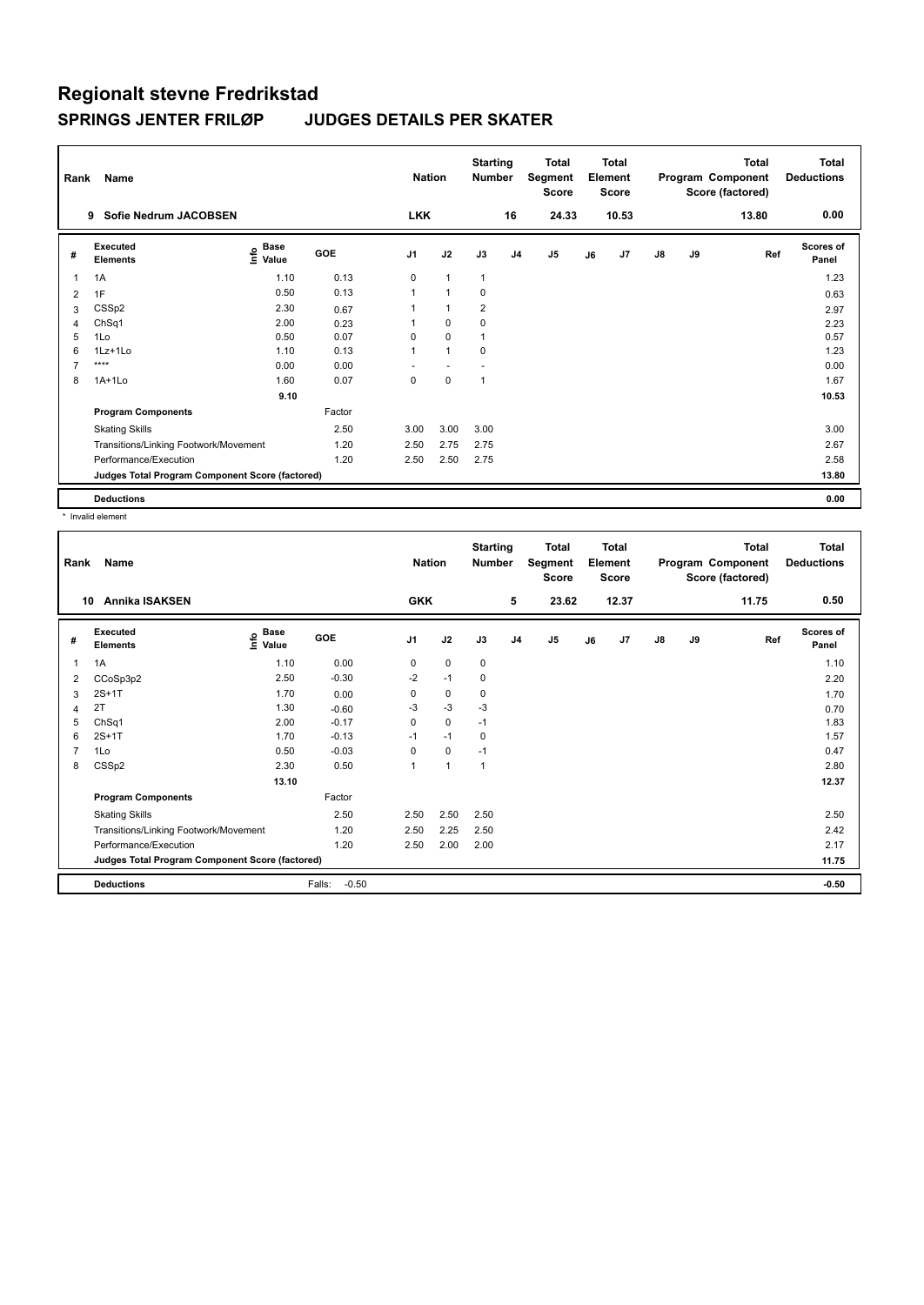| Rank | Name                                            |                              |            | <b>Nation</b>  |                | <b>Starting</b><br><b>Number</b> |                | <b>Total</b><br>Segment<br><b>Score</b> |    | <b>Total</b><br>Element<br><b>Score</b> |    |    | <b>Total</b><br>Program Component<br>Score (factored) | Total<br><b>Deductions</b> |
|------|-------------------------------------------------|------------------------------|------------|----------------|----------------|----------------------------------|----------------|-----------------------------------------|----|-----------------------------------------|----|----|-------------------------------------------------------|----------------------------|
|      | Sofie Nedrum JACOBSEN<br>9                      |                              |            | <b>LKK</b>     |                |                                  | 16             | 24.33                                   |    | 10.53                                   |    |    | 13.80                                                 | 0.00                       |
| #    | Executed<br><b>Elements</b>                     | <b>Base</b><br>١nfo<br>Value | <b>GOE</b> | J <sub>1</sub> | J2             | J3                               | J <sub>4</sub> | J5                                      | J6 | J <sub>7</sub>                          | J8 | J9 | Ref                                                   | <b>Scores of</b><br>Panel  |
|      | 1A                                              | 1.10                         | 0.13       | $\mathbf 0$    | $\mathbf{1}$   | $\mathbf{1}$                     |                |                                         |    |                                         |    |    |                                                       | 1.23                       |
| 2    | 1F                                              | 0.50                         | 0.13       |                | $\overline{1}$ | 0                                |                |                                         |    |                                         |    |    |                                                       | 0.63                       |
| 3    | CSSp2                                           | 2.30                         | 0.67       |                | 1              | $\overline{2}$                   |                |                                         |    |                                         |    |    |                                                       | 2.97                       |
| 4    | ChSq1                                           | 2.00                         | 0.23       |                | 0              | 0                                |                |                                         |    |                                         |    |    |                                                       | 2.23                       |
| 5    | 1Lo                                             | 0.50                         | 0.07       | $\Omega$       | $\mathbf 0$    | 1                                |                |                                         |    |                                         |    |    |                                                       | 0.57                       |
| 6    | 1Lz+1Lo                                         | 1.10                         | 0.13       | 1              | $\mathbf{1}$   | 0                                |                |                                         |    |                                         |    |    |                                                       | 1.23                       |
| 7    | ****                                            | 0.00                         | 0.00       |                |                |                                  |                |                                         |    |                                         |    |    |                                                       | 0.00                       |
| 8    | $1A+1Lo$                                        | 1.60                         | 0.07       | 0              | $\mathbf 0$    | 1                                |                |                                         |    |                                         |    |    |                                                       | 1.67                       |
|      |                                                 | 9.10                         |            |                |                |                                  |                |                                         |    |                                         |    |    |                                                       | 10.53                      |
|      | <b>Program Components</b>                       |                              | Factor     |                |                |                                  |                |                                         |    |                                         |    |    |                                                       |                            |
|      | <b>Skating Skills</b>                           |                              | 2.50       | 3.00           | 3.00           | 3.00                             |                |                                         |    |                                         |    |    |                                                       | 3.00                       |
|      | Transitions/Linking Footwork/Movement           |                              | 1.20       | 2.50           | 2.75           | 2.75                             |                |                                         |    |                                         |    |    |                                                       | 2.67                       |
|      | Performance/Execution                           |                              | 1.20       | 2.50           | 2.50           | 2.75                             |                |                                         |    |                                         |    |    |                                                       | 2.58                       |
|      | Judges Total Program Component Score (factored) |                              |            |                |                |                                  |                |                                         |    |                                         |    |    |                                                       | 13.80                      |
|      | <b>Deductions</b>                               |                              |            |                |                |                                  |                |                                         |    |                                         |    |    |                                                       | 0.00                       |

\* Invalid element

| Rank<br>10     | Name<br>Annika ISAKSEN                          |                                           |                   | <b>Nation</b><br><b>GKK</b> |                | <b>Starting</b><br><b>Number</b> | 5              | Total<br>Segment<br><b>Score</b><br>23.62 |    | <b>Total</b><br>Element<br><b>Score</b><br>12.37 |               |    | <b>Total</b><br>Program Component<br>Score (factored)<br>11.75 | <b>Total</b><br><b>Deductions</b><br>0.50 |
|----------------|-------------------------------------------------|-------------------------------------------|-------------------|-----------------------------|----------------|----------------------------------|----------------|-------------------------------------------|----|--------------------------------------------------|---------------|----|----------------------------------------------------------------|-------------------------------------------|
| #              | Executed<br><b>Elements</b>                     | $\frac{6}{5}$ Base<br>$\frac{1}{5}$ Value | GOE               | J <sub>1</sub>              | J2             | J3                               | J <sub>4</sub> | J <sub>5</sub>                            | J6 | J7                                               | $\mathsf{J}8$ | J9 | Ref                                                            | Scores of<br>Panel                        |
| $\mathbf{1}$   | 1A                                              | 1.10                                      | 0.00              | 0                           | $\mathbf 0$    | 0                                |                |                                           |    |                                                  |               |    |                                                                | 1.10                                      |
| 2              | CCoSp3p2                                        | 2.50                                      | $-0.30$           | $-2$                        | $-1$           | 0                                |                |                                           |    |                                                  |               |    |                                                                | 2.20                                      |
| 3              | $2S+1T$                                         | 1.70                                      | 0.00              | 0                           | $\mathbf 0$    | 0                                |                |                                           |    |                                                  |               |    |                                                                | 1.70                                      |
| $\overline{4}$ | 2T                                              | 1.30                                      | $-0.60$           | $-3$                        | $-3$           | $-3$                             |                |                                           |    |                                                  |               |    |                                                                | 0.70                                      |
| 5              | ChSq1                                           | 2.00                                      | $-0.17$           | 0                           | $\mathbf 0$    | $-1$                             |                |                                           |    |                                                  |               |    |                                                                | 1.83                                      |
| 6              | $2S+1T$                                         | 1.70                                      | $-0.13$           | $-1$                        | $-1$           | 0                                |                |                                           |    |                                                  |               |    |                                                                | 1.57                                      |
| $\overline{7}$ | 1Lo                                             | 0.50                                      | $-0.03$           | 0                           | $\mathbf 0$    | $-1$                             |                |                                           |    |                                                  |               |    |                                                                | 0.47                                      |
| 8              | CSSp2                                           | 2.30                                      | 0.50              | 1                           | $\overline{1}$ | $\overline{1}$                   |                |                                           |    |                                                  |               |    |                                                                | 2.80                                      |
|                |                                                 | 13.10                                     |                   |                             |                |                                  |                |                                           |    |                                                  |               |    |                                                                | 12.37                                     |
|                | <b>Program Components</b>                       |                                           | Factor            |                             |                |                                  |                |                                           |    |                                                  |               |    |                                                                |                                           |
|                | <b>Skating Skills</b>                           |                                           | 2.50              | 2.50                        | 2.50           | 2.50                             |                |                                           |    |                                                  |               |    |                                                                | 2.50                                      |
|                | Transitions/Linking Footwork/Movement           |                                           | 1.20              | 2.50                        | 2.25           | 2.50                             |                |                                           |    |                                                  |               |    |                                                                | 2.42                                      |
|                | Performance/Execution                           |                                           | 1.20              | 2.50                        | 2.00           | 2.00                             |                |                                           |    |                                                  |               |    |                                                                | 2.17                                      |
|                | Judges Total Program Component Score (factored) |                                           |                   |                             |                |                                  |                |                                           |    |                                                  |               |    |                                                                | 11.75                                     |
|                | <b>Deductions</b>                               |                                           | Falls:<br>$-0.50$ |                             |                |                                  |                |                                           |    |                                                  |               |    |                                                                | $-0.50$                                   |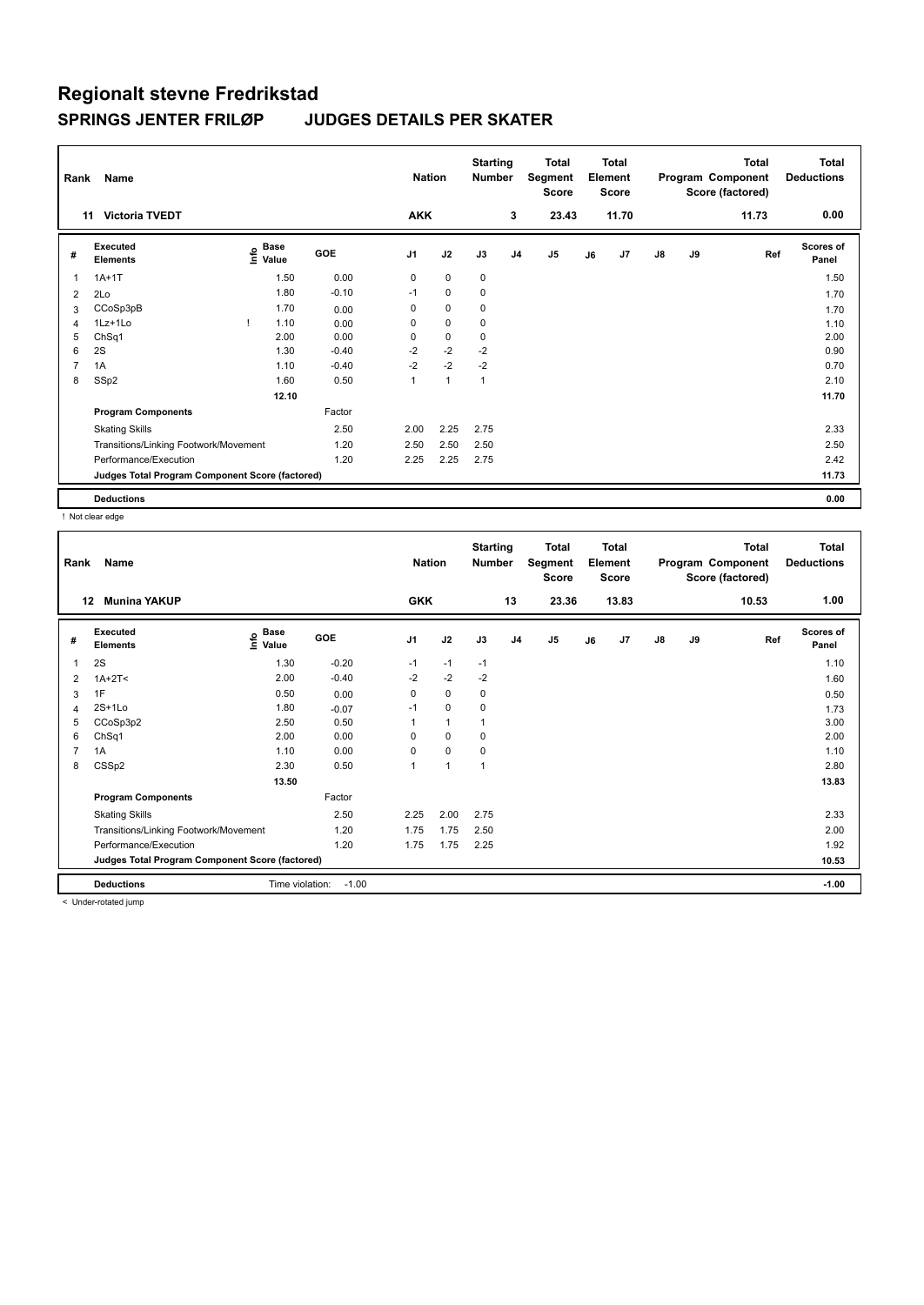| Rank           | Name                                            |                             |         | <b>Nation</b>  |              | <b>Starting</b><br><b>Number</b> |                | Total<br>Segment<br><b>Score</b> |    | <b>Total</b><br>Element<br><b>Score</b> |               |    | <b>Total</b><br>Program Component<br>Score (factored) | <b>Total</b><br><b>Deductions</b> |
|----------------|-------------------------------------------------|-----------------------------|---------|----------------|--------------|----------------------------------|----------------|----------------------------------|----|-----------------------------------------|---------------|----|-------------------------------------------------------|-----------------------------------|
| 11             | <b>Victoria TVEDT</b>                           |                             |         | <b>AKK</b>     |              |                                  | 3              | 23.43                            |    | 11.70                                   |               |    | 11.73                                                 | 0.00                              |
| #              | Executed<br><b>Elements</b>                     | Base<br>$\frac{6}{5}$ Value | GOE     | J <sub>1</sub> | J2           | J3                               | J <sub>4</sub> | J <sub>5</sub>                   | J6 | J7                                      | $\mathsf{J}8$ | J9 | Ref                                                   | <b>Scores of</b><br>Panel         |
| 1              | $1A+1T$                                         | 1.50                        | 0.00    | 0              | $\mathbf 0$  | 0                                |                |                                  |    |                                         |               |    |                                                       | 1.50                              |
| $\overline{2}$ | 2Lo                                             | 1.80                        | $-0.10$ | $-1$           | $\mathbf 0$  | 0                                |                |                                  |    |                                         |               |    |                                                       | 1.70                              |
| 3              | CCoSp3pB                                        | 1.70                        | 0.00    | 0              | $\pmb{0}$    | 0                                |                |                                  |    |                                         |               |    |                                                       | 1.70                              |
| $\overline{4}$ | 1Lz+1Lo                                         | 1.10                        | 0.00    | 0              | $\pmb{0}$    | 0                                |                |                                  |    |                                         |               |    |                                                       | 1.10                              |
| 5              | ChSq1                                           | 2.00                        | 0.00    | 0              | $\pmb{0}$    | 0                                |                |                                  |    |                                         |               |    |                                                       | 2.00                              |
| 6              | 2S                                              | 1.30                        | $-0.40$ | $-2$           | $-2$         | $-2$                             |                |                                  |    |                                         |               |    |                                                       | 0.90                              |
| 7              | 1A                                              | 1.10                        | $-0.40$ | $-2$           | $-2$         | $-2$                             |                |                                  |    |                                         |               |    |                                                       | 0.70                              |
| 8              | SSp2                                            | 1.60                        | 0.50    |                | $\mathbf{1}$ | $\mathbf{1}$                     |                |                                  |    |                                         |               |    |                                                       | 2.10                              |
|                |                                                 | 12.10                       |         |                |              |                                  |                |                                  |    |                                         |               |    |                                                       | 11.70                             |
|                | <b>Program Components</b>                       |                             | Factor  |                |              |                                  |                |                                  |    |                                         |               |    |                                                       |                                   |
|                | <b>Skating Skills</b>                           |                             | 2.50    | 2.00           | 2.25         | 2.75                             |                |                                  |    |                                         |               |    |                                                       | 2.33                              |
|                | Transitions/Linking Footwork/Movement           |                             | 1.20    | 2.50           | 2.50         | 2.50                             |                |                                  |    |                                         |               |    |                                                       | 2.50                              |
|                | Performance/Execution                           |                             | 1.20    | 2.25           | 2.25         | 2.75                             |                |                                  |    |                                         |               |    |                                                       | 2.42                              |
|                | Judges Total Program Component Score (factored) |                             |         |                |              |                                  |                |                                  |    |                                         |               |    |                                                       | 11.73                             |
|                | <b>Deductions</b>                               |                             |         |                |              |                                  |                |                                  |    |                                         |               |    |                                                       | 0.00                              |

! Not clear edge

| Rank           | Name                                            |                   |         | <b>Nation</b>  |              | <b>Starting</b><br><b>Number</b> |                | <b>Total</b><br>Segment<br><b>Score</b> |    | <b>Total</b><br>Element<br><b>Score</b> |               |    | <b>Total</b><br>Program Component<br>Score (factored) | <b>Total</b><br><b>Deductions</b> |
|----------------|-------------------------------------------------|-------------------|---------|----------------|--------------|----------------------------------|----------------|-----------------------------------------|----|-----------------------------------------|---------------|----|-------------------------------------------------------|-----------------------------------|
|                | 12<br><b>Munina YAKUP</b>                       |                   |         | <b>GKK</b>     |              |                                  | 13             | 23.36                                   |    | 13.83                                   |               |    | 10.53                                                 | 1.00                              |
| #              | Executed<br><b>Elements</b>                     | e Base<br>⊆ Value | GOE     | J <sub>1</sub> | J2           | J3                               | J <sub>4</sub> | J5                                      | J6 | J7                                      | $\mathsf{J}8$ | J9 | Ref                                                   | Scores of<br>Panel                |
|                | 2S                                              | 1.30              | $-0.20$ | $-1$           | $-1$         | $-1$                             |                |                                         |    |                                         |               |    |                                                       | 1.10                              |
| 2              | $1A+2T2$                                        | 2.00              | $-0.40$ | $-2$           | $-2$         | $-2$                             |                |                                         |    |                                         |               |    |                                                       | 1.60                              |
| 3              | 1F                                              | 0.50              | 0.00    | 0              | 0            | 0                                |                |                                         |    |                                         |               |    |                                                       | 0.50                              |
| 4              | $2S+1L0$                                        | 1.80              | $-0.07$ | $-1$           | $\mathbf 0$  | $\mathbf 0$                      |                |                                         |    |                                         |               |    |                                                       | 1.73                              |
| 5              | CCoSp3p2                                        | 2.50              | 0.50    |                | $\mathbf{1}$ | $\mathbf{1}$                     |                |                                         |    |                                         |               |    |                                                       | 3.00                              |
| 6              | ChSq1                                           | 2.00              | 0.00    | 0              | $\mathbf 0$  | 0                                |                |                                         |    |                                         |               |    |                                                       | 2.00                              |
| $\overline{7}$ | 1A                                              | 1.10              | 0.00    | 0              | $\mathbf 0$  | 0                                |                |                                         |    |                                         |               |    |                                                       | 1.10                              |
| 8              | CSSp2                                           | 2.30              | 0.50    | 1              | $\mathbf{1}$ | $\mathbf{1}$                     |                |                                         |    |                                         |               |    |                                                       | 2.80                              |
|                |                                                 | 13.50             |         |                |              |                                  |                |                                         |    |                                         |               |    |                                                       | 13.83                             |
|                | <b>Program Components</b>                       |                   | Factor  |                |              |                                  |                |                                         |    |                                         |               |    |                                                       |                                   |
|                | <b>Skating Skills</b>                           |                   | 2.50    | 2.25           | 2.00         | 2.75                             |                |                                         |    |                                         |               |    |                                                       | 2.33                              |
|                | Transitions/Linking Footwork/Movement           |                   | 1.20    | 1.75           | 1.75         | 2.50                             |                |                                         |    |                                         |               |    |                                                       | 2.00                              |
|                | Performance/Execution                           |                   | 1.20    | 1.75           | 1.75         | 2.25                             |                |                                         |    |                                         |               |    |                                                       | 1.92                              |
|                | Judges Total Program Component Score (factored) |                   |         |                |              |                                  |                |                                         |    |                                         |               |    |                                                       | 10.53                             |
|                | <b>Deductions</b>                               | Time violation:   | $-1.00$ |                |              |                                  |                |                                         |    |                                         |               |    |                                                       | $-1.00$                           |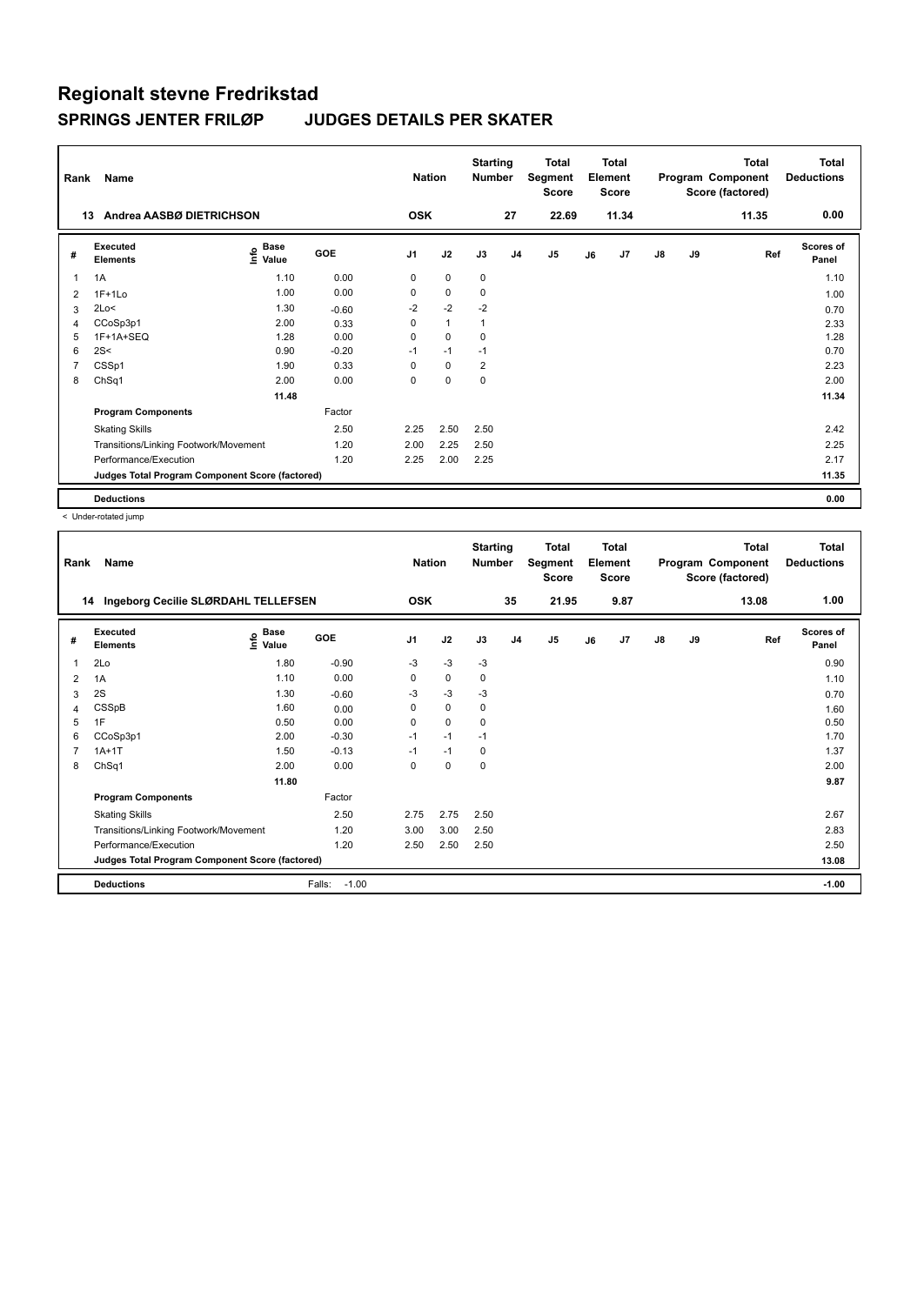| Rank | Name                                            |                            |         | <b>Nation</b>  |              | <b>Starting</b><br><b>Number</b> |                | <b>Total</b><br>Segment<br><b>Score</b> |    | <b>Total</b><br>Element<br><b>Score</b> |               |    | <b>Total</b><br>Program Component<br>Score (factored) | <b>Total</b><br><b>Deductions</b> |
|------|-------------------------------------------------|----------------------------|---------|----------------|--------------|----------------------------------|----------------|-----------------------------------------|----|-----------------------------------------|---------------|----|-------------------------------------------------------|-----------------------------------|
|      | Andrea AASBØ DIETRICHSON<br>13                  |                            |         | <b>OSK</b>     |              |                                  | 27             | 22.69                                   |    | 11.34                                   |               |    | 11.35                                                 | 0.00                              |
| #    | Executed<br><b>Elements</b>                     | <b>Base</b><br>۴o<br>Value | GOE     | J <sub>1</sub> | J2           | J3                               | J <sub>4</sub> | J <sub>5</sub>                          | J6 | J <sub>7</sub>                          | $\mathsf{J}8$ | J9 | Ref                                                   | <b>Scores of</b><br>Panel         |
|      | 1A                                              | 1.10                       | 0.00    | 0              | $\mathbf 0$  | 0                                |                |                                         |    |                                         |               |    |                                                       | 1.10                              |
| 2    | $1F+1Lo$                                        | 1.00                       | 0.00    | 0              | $\mathbf 0$  | 0                                |                |                                         |    |                                         |               |    |                                                       | 1.00                              |
| 3    | 2Lo<                                            | 1.30                       | $-0.60$ | $-2$           | $-2$         | $-2$                             |                |                                         |    |                                         |               |    |                                                       | 0.70                              |
| 4    | CCoSp3p1                                        | 2.00                       | 0.33    | 0              | $\mathbf{1}$ | 1                                |                |                                         |    |                                         |               |    |                                                       | 2.33                              |
| 5    | 1F+1A+SEQ                                       | 1.28                       | 0.00    | 0              | $\mathbf 0$  | 0                                |                |                                         |    |                                         |               |    |                                                       | 1.28                              |
| 6    | 2S<                                             | 0.90                       | $-0.20$ | $-1$           | $-1$         | $-1$                             |                |                                         |    |                                         |               |    |                                                       | 0.70                              |
|      | CSSp1                                           | 1.90                       | 0.33    | 0              | $\mathbf 0$  | $\overline{2}$                   |                |                                         |    |                                         |               |    |                                                       | 2.23                              |
| 8    | ChSq1                                           | 2.00                       | 0.00    | 0              | $\mathbf 0$  | $\mathbf 0$                      |                |                                         |    |                                         |               |    |                                                       | 2.00                              |
|      |                                                 | 11.48                      |         |                |              |                                  |                |                                         |    |                                         |               |    |                                                       | 11.34                             |
|      | <b>Program Components</b>                       |                            | Factor  |                |              |                                  |                |                                         |    |                                         |               |    |                                                       |                                   |
|      | <b>Skating Skills</b>                           |                            | 2.50    | 2.25           | 2.50         | 2.50                             |                |                                         |    |                                         |               |    |                                                       | 2.42                              |
|      | Transitions/Linking Footwork/Movement           |                            | 1.20    | 2.00           | 2.25         | 2.50                             |                |                                         |    |                                         |               |    |                                                       | 2.25                              |
|      | Performance/Execution                           |                            | 1.20    | 2.25           | 2.00         | 2.25                             |                |                                         |    |                                         |               |    |                                                       | 2.17                              |
|      | Judges Total Program Component Score (factored) |                            |         |                |              |                                  |                |                                         |    |                                         |               |    |                                                       | 11.35                             |
|      | <b>Deductions</b>                               |                            |         |                |              |                                  |                |                                         |    |                                         |               |    |                                                       | 0.00                              |

| Rank | Name<br>Ingeborg Cecilie SLØRDAHL TELLEFSEN<br>14 |                   |                   | <b>Nation</b><br><b>OSK</b> |             | <b>Starting</b><br><b>Number</b> | 35             | <b>Total</b><br>Segment<br><b>Score</b><br>21.95 |    | <b>Total</b><br>Element<br><b>Score</b><br>9.87 |               |    | <b>Total</b><br>Program Component<br>Score (factored)<br>13.08 | Total<br><b>Deductions</b><br>1.00 |
|------|---------------------------------------------------|-------------------|-------------------|-----------------------------|-------------|----------------------------------|----------------|--------------------------------------------------|----|-------------------------------------------------|---------------|----|----------------------------------------------------------------|------------------------------------|
|      |                                                   |                   |                   |                             |             |                                  |                |                                                  |    |                                                 |               |    |                                                                |                                    |
| #    | Executed<br><b>Elements</b>                       | e Base<br>⊆ Value | GOE               | J <sub>1</sub>              | J2          | J3                               | J <sub>4</sub> | J <sub>5</sub>                                   | J6 | J <sub>7</sub>                                  | $\mathsf{J}8$ | J9 | Ref                                                            | Scores of<br>Panel                 |
| 1    | 2Lo                                               | 1.80              | $-0.90$           | $-3$                        | $-3$        | $-3$                             |                |                                                  |    |                                                 |               |    |                                                                | 0.90                               |
| 2    | 1A                                                | 1.10              | 0.00              | 0                           | $\mathbf 0$ | 0                                |                |                                                  |    |                                                 |               |    |                                                                | 1.10                               |
| 3    | 2S                                                | 1.30              | $-0.60$           | $-3$                        | $-3$        | $-3$                             |                |                                                  |    |                                                 |               |    |                                                                | 0.70                               |
| 4    | CSSpB                                             | 1.60              | 0.00              | 0                           | 0           | 0                                |                |                                                  |    |                                                 |               |    |                                                                | 1.60                               |
| 5    | 1F                                                | 0.50              | 0.00              | 0                           | $\mathbf 0$ | 0                                |                |                                                  |    |                                                 |               |    |                                                                | 0.50                               |
| 6    | CCoSp3p1                                          | 2.00              | $-0.30$           | $-1$                        | $-1$        | $-1$                             |                |                                                  |    |                                                 |               |    |                                                                | 1.70                               |
| 7    | $1A+1T$                                           | 1.50              | $-0.13$           | $-1$                        | $-1$        | 0                                |                |                                                  |    |                                                 |               |    |                                                                | 1.37                               |
| 8    | ChSq1                                             | 2.00              | 0.00              | 0                           | $\pmb{0}$   | 0                                |                |                                                  |    |                                                 |               |    |                                                                | 2.00                               |
|      |                                                   | 11.80             |                   |                             |             |                                  |                |                                                  |    |                                                 |               |    |                                                                | 9.87                               |
|      | <b>Program Components</b>                         |                   | Factor            |                             |             |                                  |                |                                                  |    |                                                 |               |    |                                                                |                                    |
|      | <b>Skating Skills</b>                             |                   | 2.50              | 2.75                        | 2.75        | 2.50                             |                |                                                  |    |                                                 |               |    |                                                                | 2.67                               |
|      | Transitions/Linking Footwork/Movement             |                   | 1.20              | 3.00                        | 3.00        | 2.50                             |                |                                                  |    |                                                 |               |    |                                                                | 2.83                               |
|      | Performance/Execution                             |                   | 1.20              | 2.50                        | 2.50        | 2.50                             |                |                                                  |    |                                                 |               |    |                                                                | 2.50                               |
|      | Judges Total Program Component Score (factored)   |                   |                   |                             |             |                                  |                |                                                  |    |                                                 |               |    |                                                                | 13.08                              |
|      | <b>Deductions</b>                                 |                   | $-1.00$<br>Falls: |                             |             |                                  |                |                                                  |    |                                                 |               |    |                                                                | $-1.00$                            |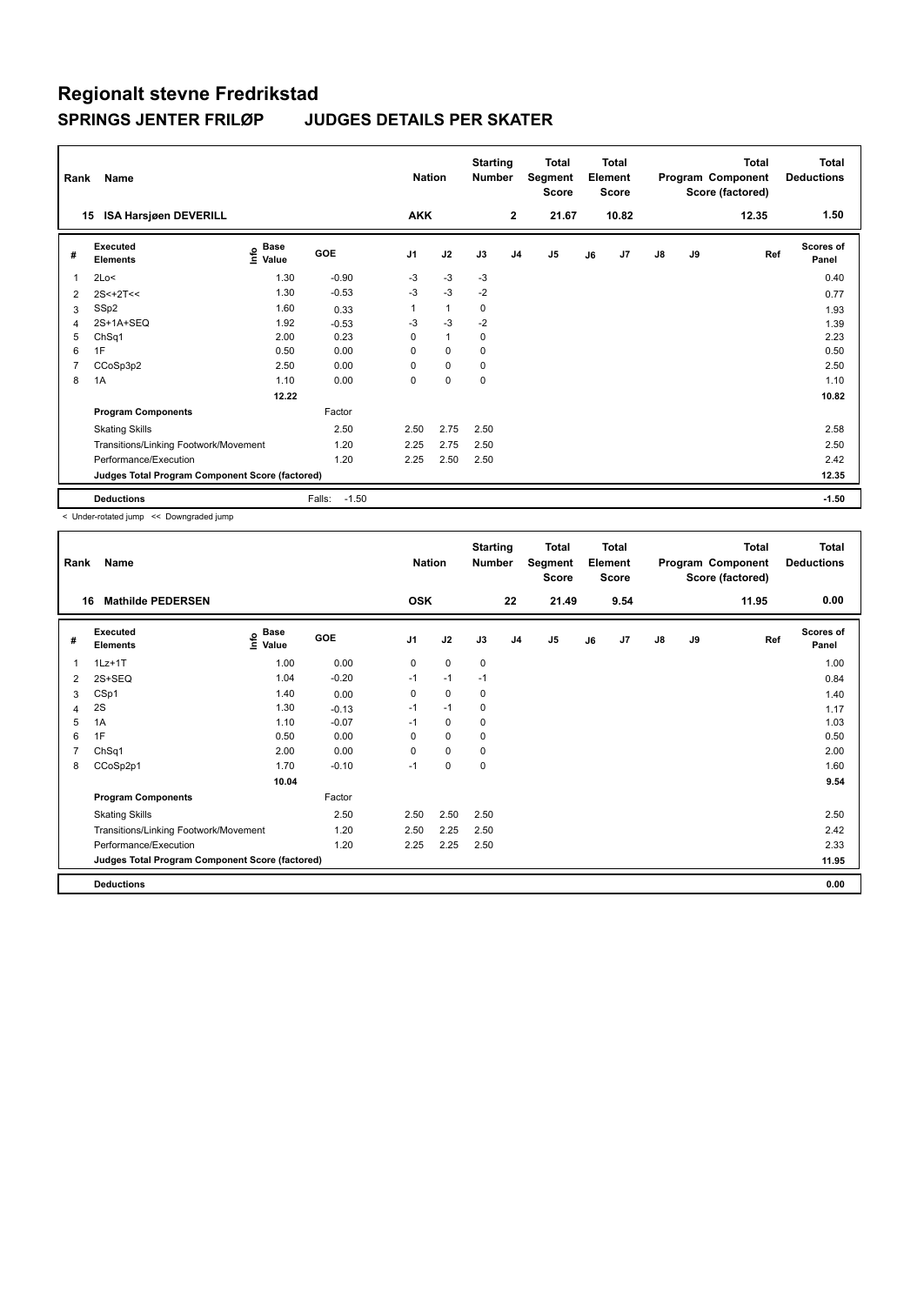| Rank | Name                                            |                                  |                   | <b>Nation</b>  |              | <b>Starting</b><br><b>Number</b> |                | <b>Total</b><br>Segment<br><b>Score</b> |    | <b>Total</b><br>Element<br><b>Score</b> |    |    | <b>Total</b><br>Program Component<br>Score (factored) | <b>Total</b><br><b>Deductions</b> |
|------|-------------------------------------------------|----------------------------------|-------------------|----------------|--------------|----------------------------------|----------------|-----------------------------------------|----|-----------------------------------------|----|----|-------------------------------------------------------|-----------------------------------|
| 15   | <b>ISA Harsjøen DEVERILL</b>                    |                                  |                   | <b>AKK</b>     |              |                                  | $\overline{2}$ | 21.67                                   |    | 10.82                                   |    |    | 12.35                                                 | 1.50                              |
| #    | Executed<br><b>Elements</b>                     | <b>Base</b><br>e Base<br>⊆ Value | GOE               | J <sub>1</sub> | J2           | J3                               | J <sub>4</sub> | J5                                      | J6 | J <sub>7</sub>                          | J8 | J9 | Ref                                                   | Scores of<br>Panel                |
|      | 2Lo<                                            | 1.30                             | $-0.90$           | $-3$           | -3           | $-3$                             |                |                                         |    |                                         |    |    |                                                       | 0.40                              |
| 2    | $2S < +2T <$                                    | 1.30                             | $-0.53$           | $-3$           | $-3$         | $-2$                             |                |                                         |    |                                         |    |    |                                                       | 0.77                              |
| 3    | SSp2                                            | 1.60                             | 0.33              | 1              | $\mathbf{1}$ | 0                                |                |                                         |    |                                         |    |    |                                                       | 1.93                              |
| 4    | 2S+1A+SEQ                                       | 1.92                             | $-0.53$           | $-3$           | $-3$         | $-2$                             |                |                                         |    |                                         |    |    |                                                       | 1.39                              |
| 5    | ChSq1                                           | 2.00                             | 0.23              | $\Omega$       | $\mathbf{1}$ | $\Omega$                         |                |                                         |    |                                         |    |    |                                                       | 2.23                              |
| 6    | 1F                                              | 0.50                             | 0.00              | 0              | $\mathbf 0$  | $\mathbf 0$                      |                |                                         |    |                                         |    |    |                                                       | 0.50                              |
| 7    | CCoSp3p2                                        | 2.50                             | 0.00              | $\Omega$       | 0            | $\mathbf 0$                      |                |                                         |    |                                         |    |    |                                                       | 2.50                              |
| 8    | 1A                                              | 1.10                             | 0.00              | 0              | $\mathbf 0$  | $\mathbf 0$                      |                |                                         |    |                                         |    |    |                                                       | 1.10                              |
|      |                                                 | 12.22                            |                   |                |              |                                  |                |                                         |    |                                         |    |    |                                                       | 10.82                             |
|      | <b>Program Components</b>                       |                                  | Factor            |                |              |                                  |                |                                         |    |                                         |    |    |                                                       |                                   |
|      | <b>Skating Skills</b>                           |                                  | 2.50              | 2.50           | 2.75         | 2.50                             |                |                                         |    |                                         |    |    |                                                       | 2.58                              |
|      | Transitions/Linking Footwork/Movement           |                                  | 1.20              | 2.25           | 2.75         | 2.50                             |                |                                         |    |                                         |    |    |                                                       | 2.50                              |
|      | Performance/Execution                           |                                  | 1.20              | 2.25           | 2.50         | 2.50                             |                |                                         |    |                                         |    |    |                                                       | 2.42                              |
|      | Judges Total Program Component Score (factored) |                                  |                   |                |              |                                  |                |                                         |    |                                         |    |    |                                                       | 12.35                             |
|      | <b>Deductions</b>                               |                                  | $-1.50$<br>Falls: |                |              |                                  |                |                                         |    |                                         |    |    |                                                       | $-1.50$                           |

< Under-rotated jump << Downgraded jump

| Rank | Name                                            |                   |            | <b>Nation</b> |             | <b>Starting</b><br>Number |                | <b>Total</b><br>Segment<br><b>Score</b> |    | <b>Total</b><br>Element<br><b>Score</b> |               |    | <b>Total</b><br>Program Component<br>Score (factored) | <b>Total</b><br><b>Deductions</b> |
|------|-------------------------------------------------|-------------------|------------|---------------|-------------|---------------------------|----------------|-----------------------------------------|----|-----------------------------------------|---------------|----|-------------------------------------------------------|-----------------------------------|
| 16   | <b>Mathilde PEDERSEN</b>                        |                   |            | <b>OSK</b>    |             |                           | 22             | 21.49                                   |    | 9.54                                    |               |    | 11.95                                                 | 0.00                              |
| #    | Executed<br><b>Elements</b>                     | e Base<br>⊆ Value | <b>GOE</b> | J1            | J2          | J3                        | J <sub>4</sub> | J <sub>5</sub>                          | J6 | J7                                      | $\mathsf{J}8$ | J9 | Ref                                                   | <b>Scores of</b><br>Panel         |
| 1    | $1Lz+1T$                                        | 1.00              | 0.00       | 0             | 0           | 0                         |                |                                         |    |                                         |               |    |                                                       | 1.00                              |
| 2    | 2S+SEQ                                          | 1.04              | $-0.20$    | $-1$          | $-1$        | $-1$                      |                |                                         |    |                                         |               |    |                                                       | 0.84                              |
| 3    | CSp1                                            | 1.40              | 0.00       | 0             | 0           | 0                         |                |                                         |    |                                         |               |    |                                                       | 1.40                              |
| 4    | 2S                                              | 1.30              | $-0.13$    | $-1$          | $-1$        | 0                         |                |                                         |    |                                         |               |    |                                                       | 1.17                              |
| 5    | 1A                                              | 1.10              | $-0.07$    | $-1$          | $\mathbf 0$ | 0                         |                |                                         |    |                                         |               |    |                                                       | 1.03                              |
| 6    | 1F                                              | 0.50              | 0.00       | 0             | $\mathbf 0$ | 0                         |                |                                         |    |                                         |               |    |                                                       | 0.50                              |
| 7    | ChSq1                                           | 2.00              | 0.00       | 0             | 0           | 0                         |                |                                         |    |                                         |               |    |                                                       | 2.00                              |
| 8    | CCoSp2p1                                        | 1.70              | $-0.10$    | $-1$          | $\pmb{0}$   | 0                         |                |                                         |    |                                         |               |    |                                                       | 1.60                              |
|      |                                                 | 10.04             |            |               |             |                           |                |                                         |    |                                         |               |    |                                                       | 9.54                              |
|      | <b>Program Components</b>                       |                   | Factor     |               |             |                           |                |                                         |    |                                         |               |    |                                                       |                                   |
|      | <b>Skating Skills</b>                           |                   | 2.50       | 2.50          | 2.50        | 2.50                      |                |                                         |    |                                         |               |    |                                                       | 2.50                              |
|      | Transitions/Linking Footwork/Movement           |                   | 1.20       | 2.50          | 2.25        | 2.50                      |                |                                         |    |                                         |               |    |                                                       | 2.42                              |
|      | Performance/Execution                           |                   | 1.20       | 2.25          | 2.25        | 2.50                      |                |                                         |    |                                         |               |    |                                                       | 2.33                              |
|      | Judges Total Program Component Score (factored) |                   |            |               |             |                           |                |                                         |    |                                         |               |    |                                                       | 11.95                             |
|      | <b>Deductions</b>                               |                   |            |               |             |                           |                |                                         |    |                                         |               |    |                                                       | 0.00                              |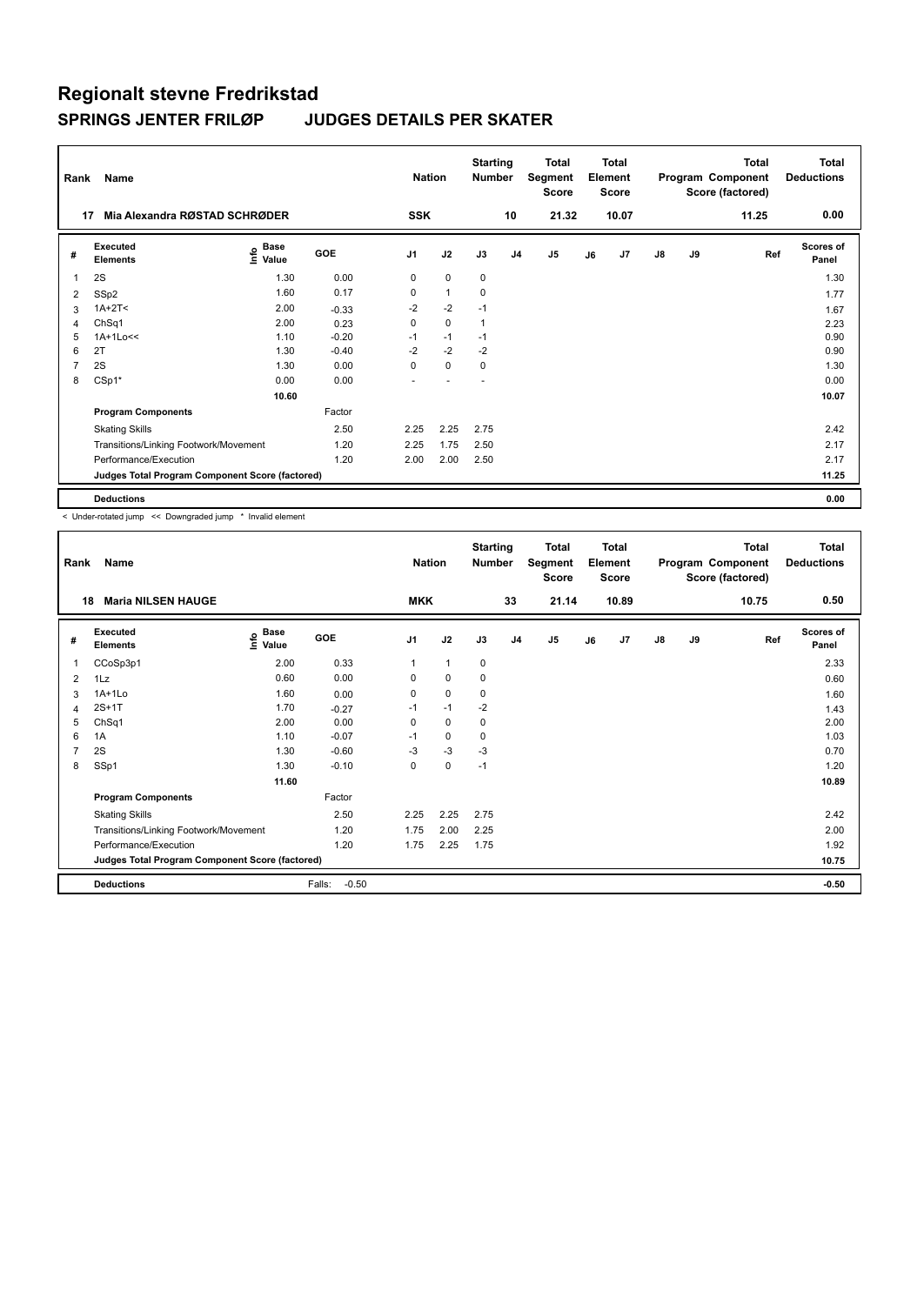| Rank           | Name                                            |                              |            | <b>Nation</b>  |              | <b>Starting</b><br><b>Number</b> |                | <b>Total</b><br>Segment<br><b>Score</b> |    | <b>Total</b><br>Element<br><b>Score</b> |               |    | <b>Total</b><br>Program Component<br>Score (factored) | <b>Total</b><br><b>Deductions</b> |
|----------------|-------------------------------------------------|------------------------------|------------|----------------|--------------|----------------------------------|----------------|-----------------------------------------|----|-----------------------------------------|---------------|----|-------------------------------------------------------|-----------------------------------|
| 17             | Mia Alexandra RØSTAD SCHRØDER                   |                              |            | <b>SSK</b>     |              |                                  | 10             | 21.32                                   |    | 10.07                                   |               |    | 11.25                                                 | 0.00                              |
| #              | Executed<br><b>Elements</b>                     | <b>Base</b><br>lnfo<br>Value | <b>GOE</b> | J <sub>1</sub> | J2           | J3                               | J <sub>4</sub> | J5                                      | J6 | J7                                      | $\mathsf{J}8$ | J9 | Ref                                                   | Scores of<br>Panel                |
| 1              | 2S                                              | 1.30                         | 0.00       | 0              | $\mathbf 0$  | 0                                |                |                                         |    |                                         |               |    |                                                       | 1.30                              |
| 2              | SSp2                                            | 1.60                         | 0.17       | 0              | $\mathbf{1}$ | $\mathbf 0$                      |                |                                         |    |                                         |               |    |                                                       | 1.77                              |
| 3              | $1A+2T2$                                        | 2.00                         | $-0.33$    | -2             | $-2$         | $-1$                             |                |                                         |    |                                         |               |    |                                                       | 1.67                              |
| 4              | ChSq1                                           | 2.00                         | 0.23       | 0              | $\mathbf 0$  | 1                                |                |                                         |    |                                         |               |    |                                                       | 2.23                              |
| 5              | $1A+1Lo<<$                                      | 1.10                         | $-0.20$    | $-1$           | $-1$         | $-1$                             |                |                                         |    |                                         |               |    |                                                       | 0.90                              |
| 6              | 2T                                              | 1.30                         | $-0.40$    | $-2$           | $-2$         | $-2$                             |                |                                         |    |                                         |               |    |                                                       | 0.90                              |
| $\overline{7}$ | 2S                                              | 1.30                         | 0.00       | 0              | $\mathbf 0$  | 0                                |                |                                         |    |                                         |               |    |                                                       | 1.30                              |
| 8              | CSp1*                                           | 0.00                         | 0.00       | ۰              |              | $\overline{\phantom{a}}$         |                |                                         |    |                                         |               |    |                                                       | 0.00                              |
|                |                                                 | 10.60                        |            |                |              |                                  |                |                                         |    |                                         |               |    |                                                       | 10.07                             |
|                | <b>Program Components</b>                       |                              | Factor     |                |              |                                  |                |                                         |    |                                         |               |    |                                                       |                                   |
|                | <b>Skating Skills</b>                           |                              | 2.50       | 2.25           | 2.25         | 2.75                             |                |                                         |    |                                         |               |    |                                                       | 2.42                              |
|                | Transitions/Linking Footwork/Movement           |                              | 1.20       | 2.25           | 1.75         | 2.50                             |                |                                         |    |                                         |               |    |                                                       | 2.17                              |
|                | Performance/Execution                           |                              | 1.20       | 2.00           | 2.00         | 2.50                             |                |                                         |    |                                         |               |    |                                                       | 2.17                              |
|                | Judges Total Program Component Score (factored) |                              |            |                |              |                                  |                |                                         |    |                                         |               |    |                                                       | 11.25                             |
|                | <b>Deductions</b>                               |                              |            |                |              |                                  |                |                                         |    |                                         |               |    |                                                       | 0.00                              |

< Under-rotated jump << Downgraded jump \* Invalid element

| Rank           | Name                                            |                                  |                   | <b>Nation</b>  |              | <b>Starting</b><br>Number |                | <b>Total</b><br>Segment<br><b>Score</b> |    | Total<br>Element<br><b>Score</b> |    |    | <b>Total</b><br>Program Component<br>Score (factored) | Total<br><b>Deductions</b> |
|----------------|-------------------------------------------------|----------------------------------|-------------------|----------------|--------------|---------------------------|----------------|-----------------------------------------|----|----------------------------------|----|----|-------------------------------------------------------|----------------------------|
| 18             | <b>Maria NILSEN HAUGE</b>                       |                                  |                   | <b>MKK</b>     |              |                           | 33             | 21.14                                   |    | 10.89                            |    |    | 10.75                                                 | 0.50                       |
| #              | Executed<br><b>Elements</b>                     | <b>Base</b><br>e Base<br>⊆ Value | GOE               | J <sub>1</sub> | J2           | J3                        | J <sub>4</sub> | J5                                      | J6 | J7                               | J8 | J9 | Ref                                                   | <b>Scores of</b><br>Panel  |
| 1              | CCoSp3p1                                        | 2.00                             | 0.33              | 1              | $\mathbf{1}$ | 0                         |                |                                         |    |                                  |    |    |                                                       | 2.33                       |
| 2              | 1Lz                                             | 0.60                             | 0.00              | 0              | 0            | 0                         |                |                                         |    |                                  |    |    |                                                       | 0.60                       |
| 3              | $1A+1L0$                                        | 1.60                             | 0.00              | 0              | 0            | 0                         |                |                                         |    |                                  |    |    |                                                       | 1.60                       |
| 4              | $2S+1T$                                         | 1.70                             | $-0.27$           | $-1$           | $-1$         | $-2$                      |                |                                         |    |                                  |    |    |                                                       | 1.43                       |
| 5              | ChSq1                                           | 2.00                             | 0.00              | 0              | 0            | 0                         |                |                                         |    |                                  |    |    |                                                       | 2.00                       |
| 6              | 1A                                              | 1.10                             | $-0.07$           | $-1$           | 0            | 0                         |                |                                         |    |                                  |    |    |                                                       | 1.03                       |
| $\overline{7}$ | 2S                                              | 1.30                             | $-0.60$           | $-3$           | $-3$         | $-3$                      |                |                                         |    |                                  |    |    |                                                       | 0.70                       |
| 8              | SSp1                                            | 1.30                             | $-0.10$           | 0              | $\pmb{0}$    | $-1$                      |                |                                         |    |                                  |    |    |                                                       | 1.20                       |
|                |                                                 | 11.60                            |                   |                |              |                           |                |                                         |    |                                  |    |    |                                                       | 10.89                      |
|                | <b>Program Components</b>                       |                                  | Factor            |                |              |                           |                |                                         |    |                                  |    |    |                                                       |                            |
|                | <b>Skating Skills</b>                           |                                  | 2.50              | 2.25           | 2.25         | 2.75                      |                |                                         |    |                                  |    |    |                                                       | 2.42                       |
|                | Transitions/Linking Footwork/Movement           |                                  | 1.20              | 1.75           | 2.00         | 2.25                      |                |                                         |    |                                  |    |    |                                                       | 2.00                       |
|                | Performance/Execution                           |                                  | 1.20              | 1.75           | 2.25         | 1.75                      |                |                                         |    |                                  |    |    |                                                       | 1.92                       |
|                | Judges Total Program Component Score (factored) |                                  |                   |                |              |                           |                |                                         |    |                                  |    |    |                                                       | 10.75                      |
|                | <b>Deductions</b>                               |                                  | Falls:<br>$-0.50$ |                |              |                           |                |                                         |    |                                  |    |    |                                                       | $-0.50$                    |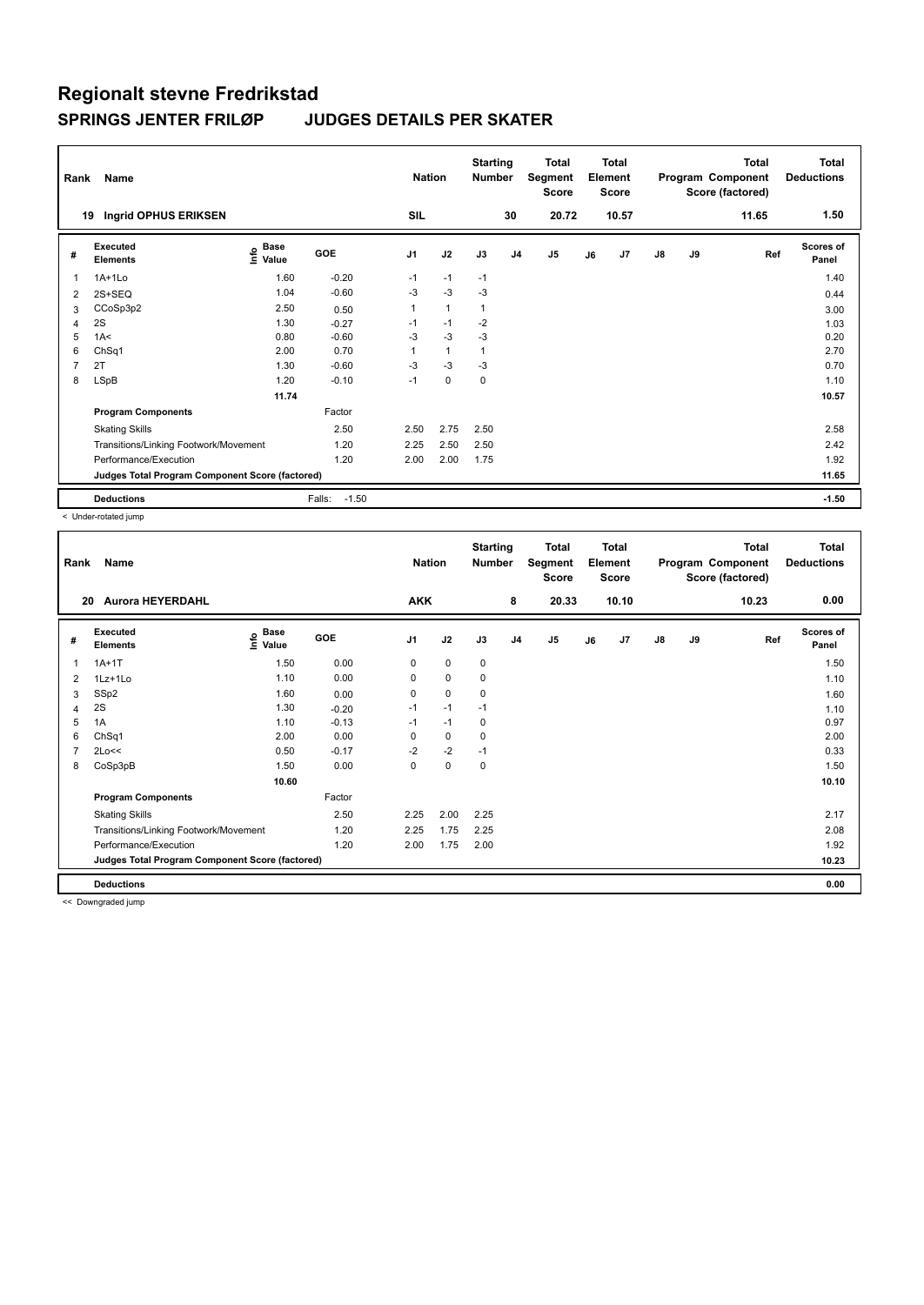| Rank | Name                                            |                     |                   | <b>Nation</b>  |              | <b>Starting</b><br><b>Number</b> |                | Total<br>Segment<br><b>Score</b> |    | Total<br>Element<br><b>Score</b> |               |    | <b>Total</b><br>Program Component<br>Score (factored) | <b>Total</b><br><b>Deductions</b> |
|------|-------------------------------------------------|---------------------|-------------------|----------------|--------------|----------------------------------|----------------|----------------------------------|----|----------------------------------|---------------|----|-------------------------------------------------------|-----------------------------------|
| 19   | Ingrid OPHUS ERIKSEN                            |                     |                   | SIL            |              |                                  | 30             | 20.72                            |    | 10.57                            |               |    | 11.65                                                 | 1.50                              |
| #    | Executed<br><b>Elements</b>                     | Base<br>۴o<br>Value | <b>GOE</b>        | J <sub>1</sub> | J2           | J3                               | J <sub>4</sub> | J5                               | J6 | J7                               | $\mathsf{J}8$ | J9 | Ref                                                   | <b>Scores of</b><br>Panel         |
|      | $1A+1Lo$                                        | 1.60                | $-0.20$           | $-1$           | $-1$         | $-1$                             |                |                                  |    |                                  |               |    |                                                       | 1.40                              |
| 2    | $2S+SEQ$                                        | 1.04                | $-0.60$           | -3             | $-3$         | $-3$                             |                |                                  |    |                                  |               |    |                                                       | 0.44                              |
| 3    | CCoSp3p2                                        | 2.50                | 0.50              | 1              | $\mathbf{1}$ | $\mathbf{1}$                     |                |                                  |    |                                  |               |    |                                                       | 3.00                              |
| 4    | 2S                                              | 1.30                | $-0.27$           | $-1$           | $-1$         | $-2$                             |                |                                  |    |                                  |               |    |                                                       | 1.03                              |
| 5    | 1A<                                             | 0.80                | $-0.60$           | $-3$           | $-3$         | $-3$                             |                |                                  |    |                                  |               |    |                                                       | 0.20                              |
| 6    | ChSq1                                           | 2.00                | 0.70              | 1              | $\mathbf{1}$ |                                  |                |                                  |    |                                  |               |    |                                                       | 2.70                              |
|      | 2T                                              | 1.30                | $-0.60$           | -3             | $-3$         | -3                               |                |                                  |    |                                  |               |    |                                                       | 0.70                              |
| 8    | <b>LSpB</b>                                     | 1.20                | $-0.10$           | $-1$           | $\mathbf 0$  | 0                                |                |                                  |    |                                  |               |    |                                                       | 1.10                              |
|      |                                                 | 11.74               |                   |                |              |                                  |                |                                  |    |                                  |               |    |                                                       | 10.57                             |
|      | <b>Program Components</b>                       |                     | Factor            |                |              |                                  |                |                                  |    |                                  |               |    |                                                       |                                   |
|      | <b>Skating Skills</b>                           |                     | 2.50              | 2.50           | 2.75         | 2.50                             |                |                                  |    |                                  |               |    |                                                       | 2.58                              |
|      | Transitions/Linking Footwork/Movement           |                     | 1.20              | 2.25           | 2.50         | 2.50                             |                |                                  |    |                                  |               |    |                                                       | 2.42                              |
|      | Performance/Execution                           |                     | 1.20              | 2.00           | 2.00         | 1.75                             |                |                                  |    |                                  |               |    |                                                       | 1.92                              |
|      | Judges Total Program Component Score (factored) |                     |                   |                |              |                                  |                |                                  |    |                                  |               |    |                                                       | 11.65                             |
|      | <b>Deductions</b>                               |                     | $-1.50$<br>Falls: |                |              |                                  |                |                                  |    |                                  |               |    |                                                       | $-1.50$                           |

< Under-rotated jump

| Rank           | Name                                            |                   |         | <b>Nation</b> |             | <b>Starting</b><br><b>Number</b> |                | Total<br>Segment<br><b>Score</b> |    | <b>Total</b><br>Element<br>Score |               |    | <b>Total</b><br>Program Component<br>Score (factored) | Total<br><b>Deductions</b> |
|----------------|-------------------------------------------------|-------------------|---------|---------------|-------------|----------------------------------|----------------|----------------------------------|----|----------------------------------|---------------|----|-------------------------------------------------------|----------------------------|
| 20             | <b>Aurora HEYERDAHL</b>                         |                   |         | <b>AKK</b>    |             |                                  | 8              | 20.33                            |    | 10.10                            |               |    | 10.23                                                 | 0.00                       |
| #              | Executed<br><b>Elements</b>                     | e Base<br>⊆ Value | GOE     | J1            | J2          | J3                               | J <sub>4</sub> | J5                               | J6 | J7                               | $\mathsf{J}8$ | J9 | Ref                                                   | Scores of<br>Panel         |
| 1              | $1A+1T$                                         | 1.50              | 0.00    | 0             | $\mathbf 0$ | 0                                |                |                                  |    |                                  |               |    |                                                       | 1.50                       |
| 2              | $1Lz+1Lo$                                       | 1.10              | 0.00    | 0             | $\mathbf 0$ | 0                                |                |                                  |    |                                  |               |    |                                                       | 1.10                       |
| 3              | SSp2                                            | 1.60              | 0.00    | 0             | $\mathbf 0$ | 0                                |                |                                  |    |                                  |               |    |                                                       | 1.60                       |
| 4              | 2S                                              | 1.30              | $-0.20$ | $-1$          | $-1$        | $-1$                             |                |                                  |    |                                  |               |    |                                                       | 1.10                       |
| 5              | 1A                                              | 1.10              | $-0.13$ | $-1$          | $-1$        | 0                                |                |                                  |    |                                  |               |    |                                                       | 0.97                       |
| 6              | ChSq1                                           | 2.00              | 0.00    | 0             | $\mathbf 0$ | 0                                |                |                                  |    |                                  |               |    |                                                       | 2.00                       |
| $\overline{7}$ | 2Lo<<                                           | 0.50              | $-0.17$ | $-2$          | $-2$        | $-1$                             |                |                                  |    |                                  |               |    |                                                       | 0.33                       |
| 8              | CoSp3pB                                         | 1.50              | 0.00    | 0             | 0           | 0                                |                |                                  |    |                                  |               |    |                                                       | 1.50                       |
|                |                                                 | 10.60             |         |               |             |                                  |                |                                  |    |                                  |               |    |                                                       | 10.10                      |
|                | <b>Program Components</b>                       |                   | Factor  |               |             |                                  |                |                                  |    |                                  |               |    |                                                       |                            |
|                | <b>Skating Skills</b>                           |                   | 2.50    | 2.25          | 2.00        | 2.25                             |                |                                  |    |                                  |               |    |                                                       | 2.17                       |
|                | Transitions/Linking Footwork/Movement           |                   | 1.20    | 2.25          | 1.75        | 2.25                             |                |                                  |    |                                  |               |    |                                                       | 2.08                       |
|                | Performance/Execution                           |                   | 1.20    | 2.00          | 1.75        | 2.00                             |                |                                  |    |                                  |               |    |                                                       | 1.92                       |
|                | Judges Total Program Component Score (factored) |                   |         |               |             |                                  |                |                                  |    |                                  |               |    |                                                       | 10.23                      |
|                | <b>Deductions</b>                               |                   |         |               |             |                                  |                |                                  |    |                                  |               |    |                                                       | 0.00                       |

<< Downgraded jump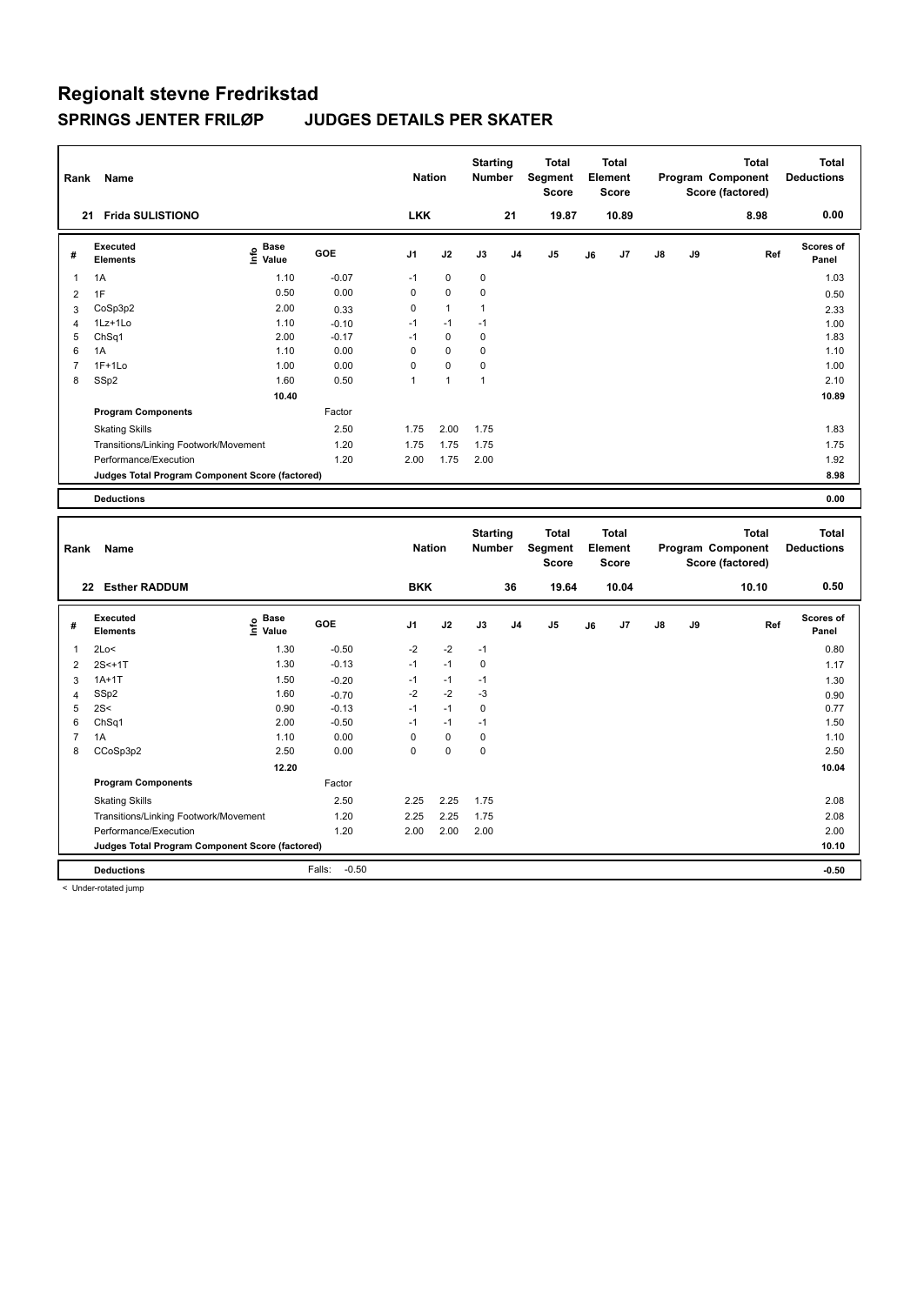| Rank                    | Name                                            |                              |            | <b>Nation</b> |                | <b>Starting</b><br><b>Number</b> |                | <b>Total</b><br>Segment<br><b>Score</b> |    | <b>Total</b><br>Element<br>Score |    |    | <b>Total</b><br>Program Component<br>Score (factored) | <b>Total</b><br><b>Deductions</b> |
|-------------------------|-------------------------------------------------|------------------------------|------------|---------------|----------------|----------------------------------|----------------|-----------------------------------------|----|----------------------------------|----|----|-------------------------------------------------------|-----------------------------------|
|                         | 21 Frida SULISTIONO                             |                              |            | <b>LKK</b>    |                |                                  | 21             | 19.87                                   |    | 10.89                            |    |    | 8.98                                                  | 0.00                              |
| #                       | <b>Executed</b><br><b>Elements</b>              | <b>Base</b><br>١nfo<br>Value | <b>GOE</b> | J1            | J2             | J3                               | J4             | J5                                      | J6 | J7                               | J8 | J9 | Ref                                                   | Scores of<br>Panel                |
| 1                       | 1A                                              | 1.10                         | $-0.07$    | $-1$          | $\mathbf 0$    | $\mathbf 0$                      |                |                                         |    |                                  |    |    |                                                       | 1.03                              |
| $\overline{\mathbf{c}}$ | 1F                                              | 0.50                         | 0.00       | 0             | $\mathbf 0$    | $\mathbf 0$                      |                |                                         |    |                                  |    |    |                                                       | 0.50                              |
| 3                       | CoSp3p2                                         | 2.00                         | 0.33       | 0             | $\mathbf{1}$   | $\mathbf{1}$                     |                |                                         |    |                                  |    |    |                                                       | 2.33                              |
| $\overline{4}$          | 1Lz+1Lo                                         | 1.10                         | $-0.10$    | $-1$          | $-1$           | $-1$                             |                |                                         |    |                                  |    |    |                                                       | 1.00                              |
| 5                       | ChSq1                                           | 2.00                         | $-0.17$    | $-1$          | $\mathbf 0$    | $\mathbf 0$                      |                |                                         |    |                                  |    |    |                                                       | 1.83                              |
| 6                       | 1A                                              | 1.10                         | 0.00       | $\mathbf 0$   | $\mathbf 0$    | $\pmb{0}$                        |                |                                         |    |                                  |    |    |                                                       | 1.10                              |
| $\overline{7}$          | $1F+1Lo$                                        | 1.00                         | 0.00       | $\mathbf 0$   | $\mathbf 0$    | $\mathbf 0$                      |                |                                         |    |                                  |    |    |                                                       | 1.00                              |
| 8                       | SSp2                                            | 1.60                         | 0.50       | $\mathbf{1}$  | $\overline{1}$ | $\mathbf{1}$                     |                |                                         |    |                                  |    |    |                                                       | 2.10                              |
|                         |                                                 | 10.40                        |            |               |                |                                  |                |                                         |    |                                  |    |    |                                                       | 10.89                             |
|                         | <b>Program Components</b>                       |                              | Factor     |               |                |                                  |                |                                         |    |                                  |    |    |                                                       |                                   |
|                         | <b>Skating Skills</b>                           |                              | 2.50       | 1.75          | 2.00           | 1.75                             |                |                                         |    |                                  |    |    |                                                       | 1.83                              |
|                         | Transitions/Linking Footwork/Movement           |                              | 1.20       | 1.75          | 1.75           | 1.75                             |                |                                         |    |                                  |    |    |                                                       | 1.75                              |
|                         | Performance/Execution                           |                              | 1.20       | 2.00          | 1.75           | 2.00                             |                |                                         |    |                                  |    |    |                                                       | 1.92                              |
|                         | Judges Total Program Component Score (factored) |                              |            |               |                |                                  |                |                                         |    |                                  |    |    |                                                       | 8.98                              |
|                         | <b>Deductions</b>                               |                              |            |               |                |                                  |                |                                         |    |                                  |    |    |                                                       | 0.00                              |
|                         |                                                 |                              |            |               |                |                                  |                |                                         |    |                                  |    |    |                                                       |                                   |
|                         |                                                 |                              |            |               |                |                                  |                |                                         |    |                                  |    |    |                                                       |                                   |
| Rank                    | Name                                            |                              |            | <b>Nation</b> |                | <b>Starting</b><br><b>Number</b> |                | <b>Total</b><br>Segment<br><b>Score</b> |    | Total<br>Element<br><b>Score</b> |    |    | <b>Total</b><br>Program Component                     | <b>Total</b><br><b>Deductions</b> |
|                         | 22 Esther RADDUM                                |                              |            | <b>BKK</b>    |                |                                  | 36             | 19.64                                   |    | 10.04                            |    |    | Score (factored)<br>10.10                             | 0.50                              |
|                         |                                                 |                              |            |               |                |                                  |                |                                         |    |                                  |    |    |                                                       |                                   |
| #                       | Executed<br><b>Elements</b>                     | <b>Base</b><br>e<br>Value    | <b>GOE</b> | J1            | J2             | J3                               | J <sub>4</sub> | J <sub>5</sub>                          | J6 | J7                               | J8 | J9 | Ref                                                   | Scores of<br>Panel                |
| 1                       | 2Lo<                                            | 1.30                         | $-0.50$    | $-2$          | -2             | $-1$                             |                |                                         |    |                                  |    |    |                                                       | 0.80                              |
| $\overline{2}$          | $2S < +1T$                                      | 1.30                         | $-0.13$    | $-1$          | $-1$           | $\pmb{0}$                        |                |                                         |    |                                  |    |    |                                                       | 1.17                              |
| 3                       | $1A+1T$                                         | 1.50                         | $-0.20$    | $-1$          | $-1$           | $-1$                             |                |                                         |    |                                  |    |    |                                                       | 1.30                              |
| 4                       | SSp2                                            | 1.60                         | $-0.70$    | $-2$          | $-2$           | $-3$                             |                |                                         |    |                                  |    |    |                                                       | 0.90                              |
| 5                       | 2S<                                             | 0.90                         | $-0.13$    | $-1$          | $-1$           | $\pmb{0}$                        |                |                                         |    |                                  |    |    |                                                       | 0.77                              |
| 6                       | ChSq1                                           | 2.00                         | $-0.50$    | $-1$          | $-1$           | $-1$                             |                |                                         |    |                                  |    |    |                                                       | 1.50                              |
| $\overline{7}$          | 1A                                              | 1.10                         | 0.00       | $\mathbf 0$   | $\pmb{0}$      | $\pmb{0}$                        |                |                                         |    |                                  |    |    |                                                       | 1.10                              |
| 8                       | CCoSp3p2                                        | 2.50                         | 0.00       | $\mathbf 0$   | $\mathbf 0$    | $\mathbf 0$                      |                |                                         |    |                                  |    |    |                                                       | 2.50                              |
|                         |                                                 | 12.20                        |            |               |                |                                  |                |                                         |    |                                  |    |    |                                                       | 10.04                             |
|                         | <b>Program Components</b>                       |                              | Factor     |               |                |                                  |                |                                         |    |                                  |    |    |                                                       |                                   |
|                         | <b>Skating Skills</b>                           |                              | 2.50       | 2.25          | 2.25           | 1.75                             |                |                                         |    |                                  |    |    |                                                       | 2.08                              |
|                         | Transitions/Linking Footwork/Movement           |                              | 1.20       | 2.25          | 2.25           | 1.75                             |                |                                         |    |                                  |    |    |                                                       | 2.08                              |
|                         | Performance/Execution                           |                              | 1.20       | 2.00          | 2.00           | 2.00                             |                |                                         |    |                                  |    |    |                                                       | 2.00                              |
|                         | Judges Total Program Component Score (factored) |                              |            |               |                |                                  |                |                                         |    |                                  |    |    |                                                       | 10.10                             |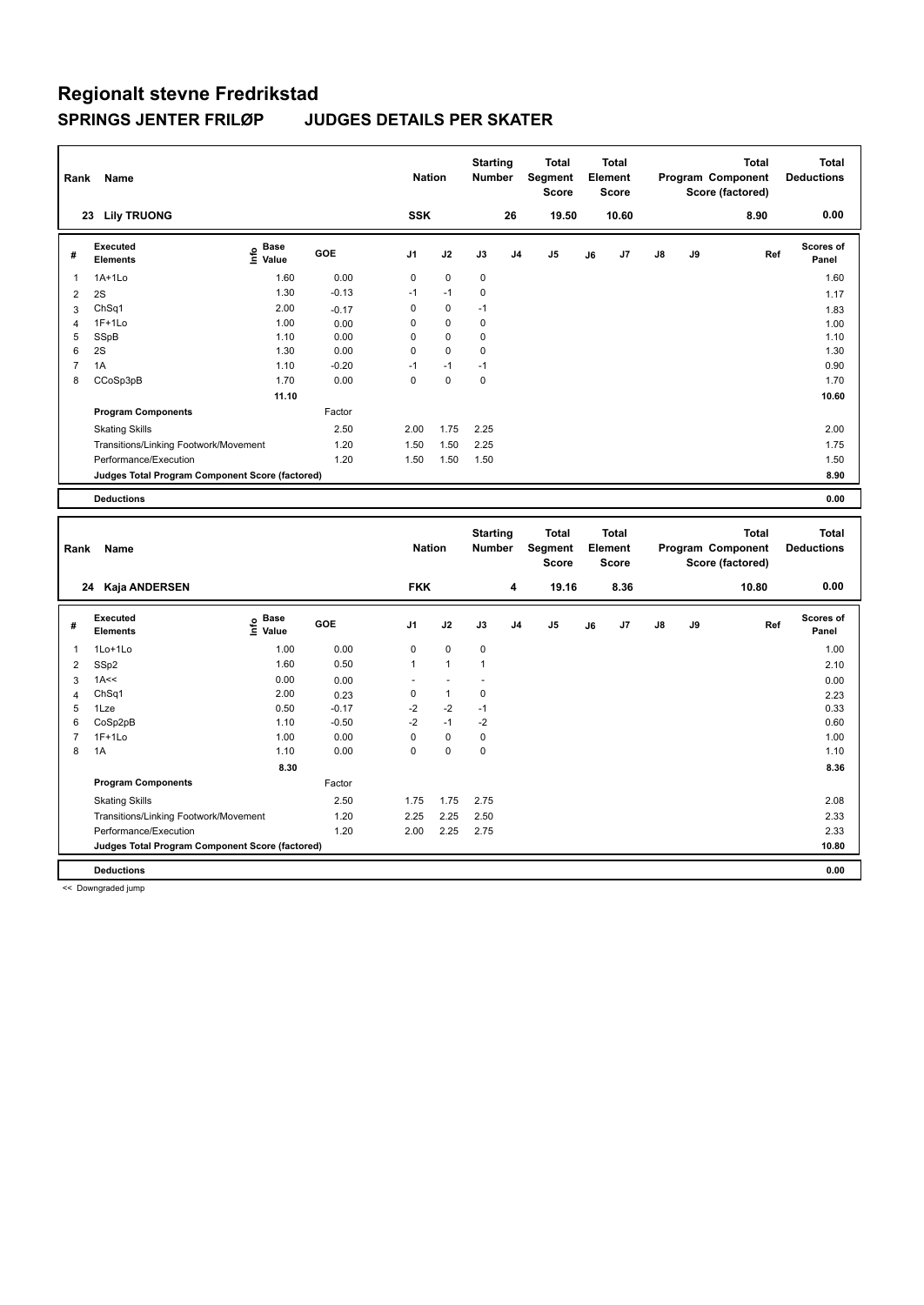| Rank                    | Name                                            |                                  |            | <b>Nation</b>  |              | <b>Starting</b><br><b>Number</b> |                | <b>Total</b><br>Segment<br><b>Score</b> |    | <b>Total</b><br>Element<br><b>Score</b> |    |    | <b>Total</b><br>Program Component<br>Score (factored) | <b>Total</b><br><b>Deductions</b> |
|-------------------------|-------------------------------------------------|----------------------------------|------------|----------------|--------------|----------------------------------|----------------|-----------------------------------------|----|-----------------------------------------|----|----|-------------------------------------------------------|-----------------------------------|
|                         | 23 Lily TRUONG                                  |                                  |            | <b>SSK</b>     |              |                                  | 26             | 19.50                                   |    | 10.60                                   |    |    | 8.90                                                  | 0.00                              |
| #                       | <b>Executed</b><br><b>Elements</b>              | <b>Base</b><br>e Base<br>⊆ Value | <b>GOE</b> | J1             | J2           | J3                               | J <sub>4</sub> | J5                                      | J6 | J7                                      | J8 | J9 | Ref                                                   | Scores of<br>Panel                |
| 1                       | 1A+1Lo                                          | 1.60                             | 0.00       | $\mathbf 0$    | $\mathbf 0$  | $\mathbf 0$                      |                |                                         |    |                                         |    |    |                                                       | 1.60                              |
| $\overline{2}$          | 2S                                              | 1.30                             | $-0.13$    | $-1$           | $-1$         | $\pmb{0}$                        |                |                                         |    |                                         |    |    |                                                       | 1.17                              |
| 3                       | ChSq1                                           | 2.00                             | $-0.17$    | $\mathbf 0$    | $\mathbf 0$  | $-1$                             |                |                                         |    |                                         |    |    |                                                       | 1.83                              |
| 4                       | $1F+1Lo$                                        | 1.00                             | 0.00       | 0              | $\pmb{0}$    | $\pmb{0}$                        |                |                                         |    |                                         |    |    |                                                       | 1.00                              |
| 5                       | SSpB                                            | 1.10                             | 0.00       | 0              | $\mathbf 0$  | $\mathbf 0$                      |                |                                         |    |                                         |    |    |                                                       | 1.10                              |
| 6                       | 2S                                              | 1.30                             | 0.00       | 0              | $\mathbf 0$  | $\mathbf 0$                      |                |                                         |    |                                         |    |    |                                                       | 1.30                              |
| $\overline{7}$          | 1A                                              | 1.10                             | $-0.20$    | $-1$           | $-1$         | $-1$                             |                |                                         |    |                                         |    |    |                                                       | 0.90                              |
| 8                       | CCoSp3pB                                        | 1.70                             | 0.00       | 0              | $\mathbf 0$  | $\mathbf 0$                      |                |                                         |    |                                         |    |    |                                                       | 1.70                              |
|                         |                                                 | 11.10                            |            |                |              |                                  |                |                                         |    |                                         |    |    |                                                       | 10.60                             |
|                         | <b>Program Components</b>                       |                                  | Factor     |                |              |                                  |                |                                         |    |                                         |    |    |                                                       |                                   |
|                         | <b>Skating Skills</b>                           |                                  | 2.50       | 2.00           | 1.75         | 2.25                             |                |                                         |    |                                         |    |    |                                                       | 2.00                              |
|                         | Transitions/Linking Footwork/Movement           |                                  | 1.20       | 1.50           | 1.50         | 2.25                             |                |                                         |    |                                         |    |    |                                                       | 1.75                              |
|                         | Performance/Execution                           |                                  | 1.20       | 1.50           | 1.50         | 1.50                             |                |                                         |    |                                         |    |    |                                                       | 1.50                              |
|                         | Judges Total Program Component Score (factored) |                                  |            |                |              |                                  |                |                                         |    |                                         |    |    |                                                       | 8.90                              |
|                         | <b>Deductions</b>                               |                                  |            |                |              |                                  |                |                                         |    |                                         |    |    |                                                       | 0.00                              |
|                         |                                                 |                                  |            |                |              |                                  |                |                                         |    |                                         |    |    |                                                       |                                   |
| Rank                    | Name                                            |                                  |            | <b>Nation</b>  |              | <b>Starting</b><br>Number        |                | <b>Total</b><br>Segment<br><b>Score</b> |    | Total<br>Element<br>Score               |    |    | <b>Total</b><br>Program Component<br>Score (factored) | <b>Total</b><br><b>Deductions</b> |
|                         | 24 Kaja ANDERSEN                                |                                  |            | <b>FKK</b>     |              |                                  | 4              | 19.16                                   |    | 8.36                                    |    |    | 10.80                                                 | 0.00                              |
| #                       | <b>Executed</b><br><b>Elements</b>              | Base<br>e Base<br>⊆ Value        | GOE        | J1             | J2           | J3                               | J4             | J <sub>5</sub>                          | J6 | J7                                      | J8 | J9 | Ref                                                   | <b>Scores of</b><br>Panel         |
| 1                       | 1Lo+1Lo                                         | 1.00                             | 0.00       | $\mathsf 0$    | $\pmb{0}$    | $\pmb{0}$                        |                |                                         |    |                                         |    |    |                                                       | 1.00                              |
| $\overline{\mathbf{c}}$ |                                                 | 1.60                             | 0.50       | $\overline{1}$ | $\mathbf{1}$ | $\mathbf{1}$                     |                |                                         |    |                                         |    |    |                                                       | 2.10                              |
| 3                       | SSp2<br>1A<<                                    | 0.00                             | 0.00       | ÷.             | ä,           | ÷,                               |                |                                         |    |                                         |    |    |                                                       | 0.00                              |
| $\overline{4}$          | Ch <sub>Sq1</sub>                               | 2.00                             | 0.23       | $\pmb{0}$      | $\mathbf{1}$ | $\pmb{0}$                        |                |                                         |    |                                         |    |    |                                                       | 2.23                              |
| 5                       | 1Lze                                            | 0.50                             | $-0.17$    | $-2$           | $-2$         | $-1$                             |                |                                         |    |                                         |    |    |                                                       | 0.33                              |
| 6                       | CoSp2pB                                         | 1.10                             | $-0.50$    | $-2$           | $-1$         | $-2$                             |                |                                         |    |                                         |    |    |                                                       | 0.60                              |
| $\overline{7}$          | $1F+1Lo$                                        | 1.00                             | 0.00       | $\mathsf 0$    | $\pmb{0}$    | $\pmb{0}$                        |                |                                         |    |                                         |    |    |                                                       | 1.00                              |
| 8                       | 1A                                              | 1.10                             | 0.00       | $\Omega$       | $\Omega$     | $\mathbf 0$                      |                |                                         |    |                                         |    |    |                                                       | 1.10                              |
|                         |                                                 | 8.30                             |            |                |              |                                  |                |                                         |    |                                         |    |    |                                                       | 8.36                              |
|                         | <b>Program Components</b>                       |                                  | Factor     |                |              |                                  |                |                                         |    |                                         |    |    |                                                       |                                   |
|                         | <b>Skating Skills</b>                           |                                  | 2.50       | 1.75           | 1.75         | 2.75                             |                |                                         |    |                                         |    |    |                                                       | 2.08                              |
|                         | Transitions/Linking Footwork/Movement           |                                  | 1.20       | 2.25           | 2.25         | 2.50                             |                |                                         |    |                                         |    |    |                                                       | 2.33                              |
|                         | Performance/Execution                           |                                  | 1.20       | 2.00           | 2.25         | 2.75                             |                |                                         |    |                                         |    |    |                                                       | 2.33                              |
|                         | Judges Total Program Component Score (factored) |                                  |            |                |              |                                  |                |                                         |    |                                         |    |    |                                                       | 10.80                             |

**Deductions 0.00**

<< Downgraded jump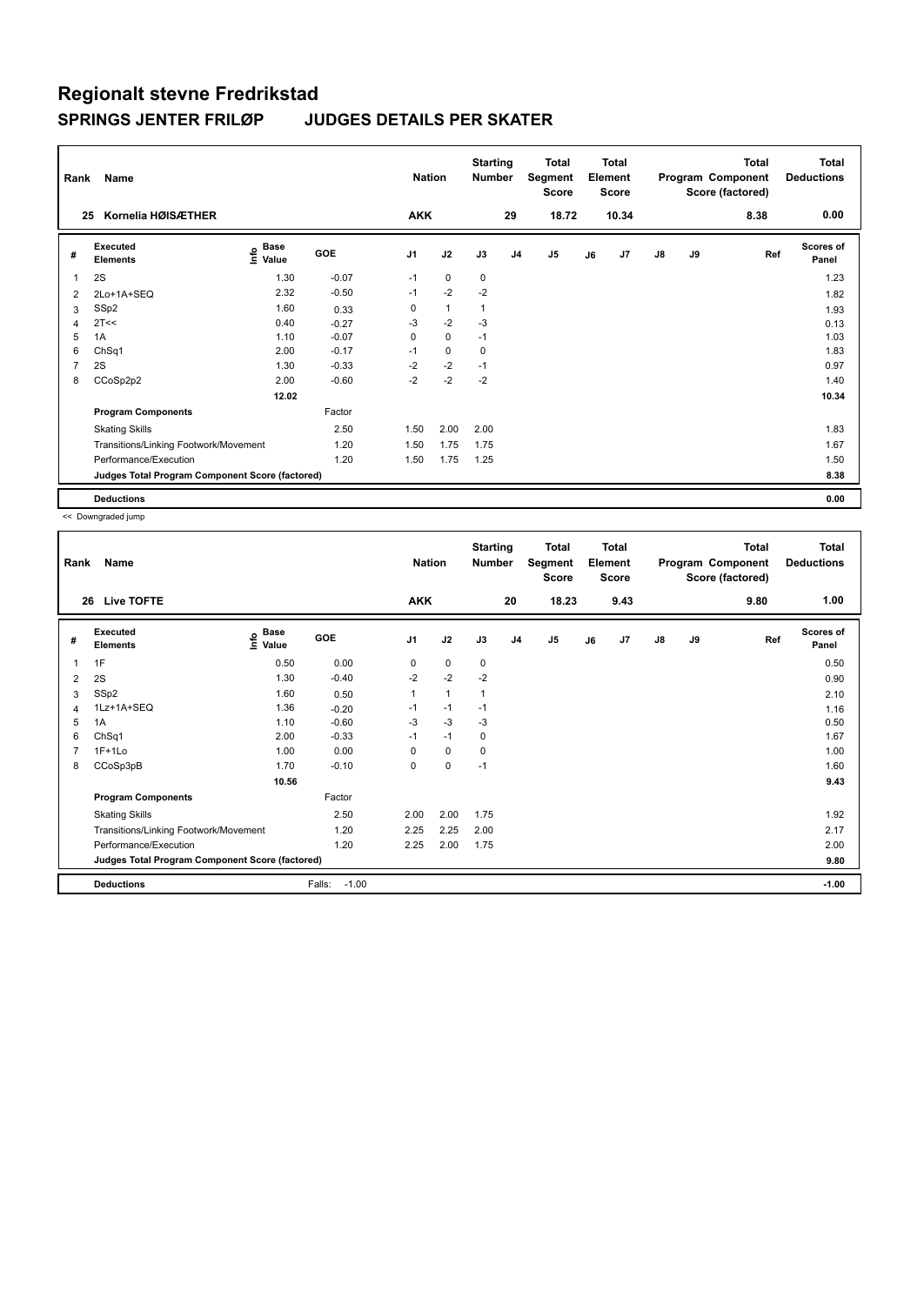| Rank | Name                                            |                            |         | <b>Nation</b>  |              | <b>Starting</b><br><b>Number</b> |                | <b>Total</b><br>Segment<br><b>Score</b> |    | <b>Total</b><br>Element<br><b>Score</b> |               |    | <b>Total</b><br>Program Component<br>Score (factored) | <b>Total</b><br><b>Deductions</b> |
|------|-------------------------------------------------|----------------------------|---------|----------------|--------------|----------------------------------|----------------|-----------------------------------------|----|-----------------------------------------|---------------|----|-------------------------------------------------------|-----------------------------------|
|      | Kornelia HØISÆTHER<br>25                        |                            |         | <b>AKK</b>     |              |                                  | 29             | 18.72                                   |    | 10.34                                   |               |    | 8.38                                                  | 0.00                              |
| #    | Executed<br><b>Elements</b>                     | <b>Base</b><br>۴o<br>Value | GOE     | J <sub>1</sub> | J2           | J3                               | J <sub>4</sub> | J <sub>5</sub>                          | J6 | J <sub>7</sub>                          | $\mathsf{J}8$ | J9 | Ref                                                   | <b>Scores of</b><br>Panel         |
|      | 2S                                              | 1.30                       | $-0.07$ | $-1$           | $\mathbf 0$  | 0                                |                |                                         |    |                                         |               |    |                                                       | 1.23                              |
| 2    | 2Lo+1A+SEQ                                      | 2.32                       | $-0.50$ | $-1$           | $-2$         | $-2$                             |                |                                         |    |                                         |               |    |                                                       | 1.82                              |
| 3    | SSp2                                            | 1.60                       | 0.33    | 0              | $\mathbf{1}$ | $\mathbf{1}$                     |                |                                         |    |                                         |               |    |                                                       | 1.93                              |
| 4    | 2T<<                                            | 0.40                       | $-0.27$ | -3             | $-2$         | $-3$                             |                |                                         |    |                                         |               |    |                                                       | 0.13                              |
| 5    | 1A                                              | 1.10                       | $-0.07$ | 0              | $\mathbf 0$  | $-1$                             |                |                                         |    |                                         |               |    |                                                       | 1.03                              |
| 6    | ChSq1                                           | 2.00                       | $-0.17$ | $-1$           | $\mathbf 0$  | 0                                |                |                                         |    |                                         |               |    |                                                       | 1.83                              |
| 7    | 2S                                              | 1.30                       | $-0.33$ | $-2$           | $-2$         | $-1$                             |                |                                         |    |                                         |               |    |                                                       | 0.97                              |
| 8    | CCoSp2p2                                        | 2.00                       | $-0.60$ | $-2$           | $-2$         | $-2$                             |                |                                         |    |                                         |               |    |                                                       | 1.40                              |
|      |                                                 | 12.02                      |         |                |              |                                  |                |                                         |    |                                         |               |    |                                                       | 10.34                             |
|      | <b>Program Components</b>                       |                            | Factor  |                |              |                                  |                |                                         |    |                                         |               |    |                                                       |                                   |
|      | <b>Skating Skills</b>                           |                            | 2.50    | 1.50           | 2.00         | 2.00                             |                |                                         |    |                                         |               |    |                                                       | 1.83                              |
|      | Transitions/Linking Footwork/Movement           |                            | 1.20    | 1.50           | 1.75         | 1.75                             |                |                                         |    |                                         |               |    |                                                       | 1.67                              |
|      | Performance/Execution                           |                            | 1.20    | 1.50           | 1.75         | 1.25                             |                |                                         |    |                                         |               |    |                                                       | 1.50                              |
|      | Judges Total Program Component Score (factored) |                            |         |                |              |                                  |                |                                         |    |                                         |               |    |                                                       | 8.38                              |
|      | <b>Deductions</b>                               |                            |         |                |              |                                  |                |                                         |    |                                         |               |    |                                                       | 0.00                              |

<< Downgraded jump

| Rank | Name                                            |                                  |                   | <b>Nation</b>  |              | <b>Starting</b><br><b>Number</b> |                | <b>Total</b><br>Segment<br><b>Score</b> |    | <b>Total</b><br>Element<br><b>Score</b> |               |    | <b>Total</b><br>Program Component<br>Score (factored) | Total<br><b>Deductions</b> |
|------|-------------------------------------------------|----------------------------------|-------------------|----------------|--------------|----------------------------------|----------------|-----------------------------------------|----|-----------------------------------------|---------------|----|-------------------------------------------------------|----------------------------|
| 26   | <b>Live TOFTE</b>                               |                                  |                   | <b>AKK</b>     |              |                                  | 20             | 18.23                                   |    | 9.43                                    |               |    | 9.80                                                  | 1.00                       |
| #    | Executed<br><b>Elements</b>                     | <b>Base</b><br>e Base<br>⊆ Value | GOE               | J <sub>1</sub> | J2           | J3                               | J <sub>4</sub> | J <sub>5</sub>                          | J6 | J7                                      | $\mathsf{J}8$ | J9 | Ref                                                   | <b>Scores of</b><br>Panel  |
| 1    | 1F                                              | 0.50                             | 0.00              | 0              | $\pmb{0}$    | $\mathbf 0$                      |                |                                         |    |                                         |               |    |                                                       | 0.50                       |
| 2    | 2S                                              | 1.30                             | $-0.40$           | $-2$           | $-2$         | $-2$                             |                |                                         |    |                                         |               |    |                                                       | 0.90                       |
| 3    | SSp2                                            | 1.60                             | 0.50              |                | $\mathbf{1}$ | 1                                |                |                                         |    |                                         |               |    |                                                       | 2.10                       |
| 4    | 1Lz+1A+SEQ                                      | 1.36                             | $-0.20$           | $-1$           | $-1$         | $-1$                             |                |                                         |    |                                         |               |    |                                                       | 1.16                       |
| 5    | 1A                                              | 1.10                             | $-0.60$           | $-3$           | $-3$         | -3                               |                |                                         |    |                                         |               |    |                                                       | 0.50                       |
| 6    | ChSq1                                           | 2.00                             | $-0.33$           | $-1$           | $-1$         | 0                                |                |                                         |    |                                         |               |    |                                                       | 1.67                       |
| 7    | $1F+1Lo$                                        | 1.00                             | 0.00              | 0              | $\mathbf 0$  | 0                                |                |                                         |    |                                         |               |    |                                                       | 1.00                       |
| 8    | CCoSp3pB                                        | 1.70                             | $-0.10$           | 0              | $\pmb{0}$    | $-1$                             |                |                                         |    |                                         |               |    |                                                       | 1.60                       |
|      |                                                 | 10.56                            |                   |                |              |                                  |                |                                         |    |                                         |               |    |                                                       | 9.43                       |
|      | <b>Program Components</b>                       |                                  | Factor            |                |              |                                  |                |                                         |    |                                         |               |    |                                                       |                            |
|      | <b>Skating Skills</b>                           |                                  | 2.50              | 2.00           | 2.00         | 1.75                             |                |                                         |    |                                         |               |    |                                                       | 1.92                       |
|      | Transitions/Linking Footwork/Movement           |                                  | 1.20              | 2.25           | 2.25         | 2.00                             |                |                                         |    |                                         |               |    |                                                       | 2.17                       |
|      | Performance/Execution                           |                                  | 1.20              | 2.25           | 2.00         | 1.75                             |                |                                         |    |                                         |               |    |                                                       | 2.00                       |
|      | Judges Total Program Component Score (factored) |                                  |                   |                |              |                                  |                |                                         |    |                                         |               |    |                                                       | 9.80                       |
|      | <b>Deductions</b>                               |                                  | Falls:<br>$-1.00$ |                |              |                                  |                |                                         |    |                                         |               |    |                                                       | $-1.00$                    |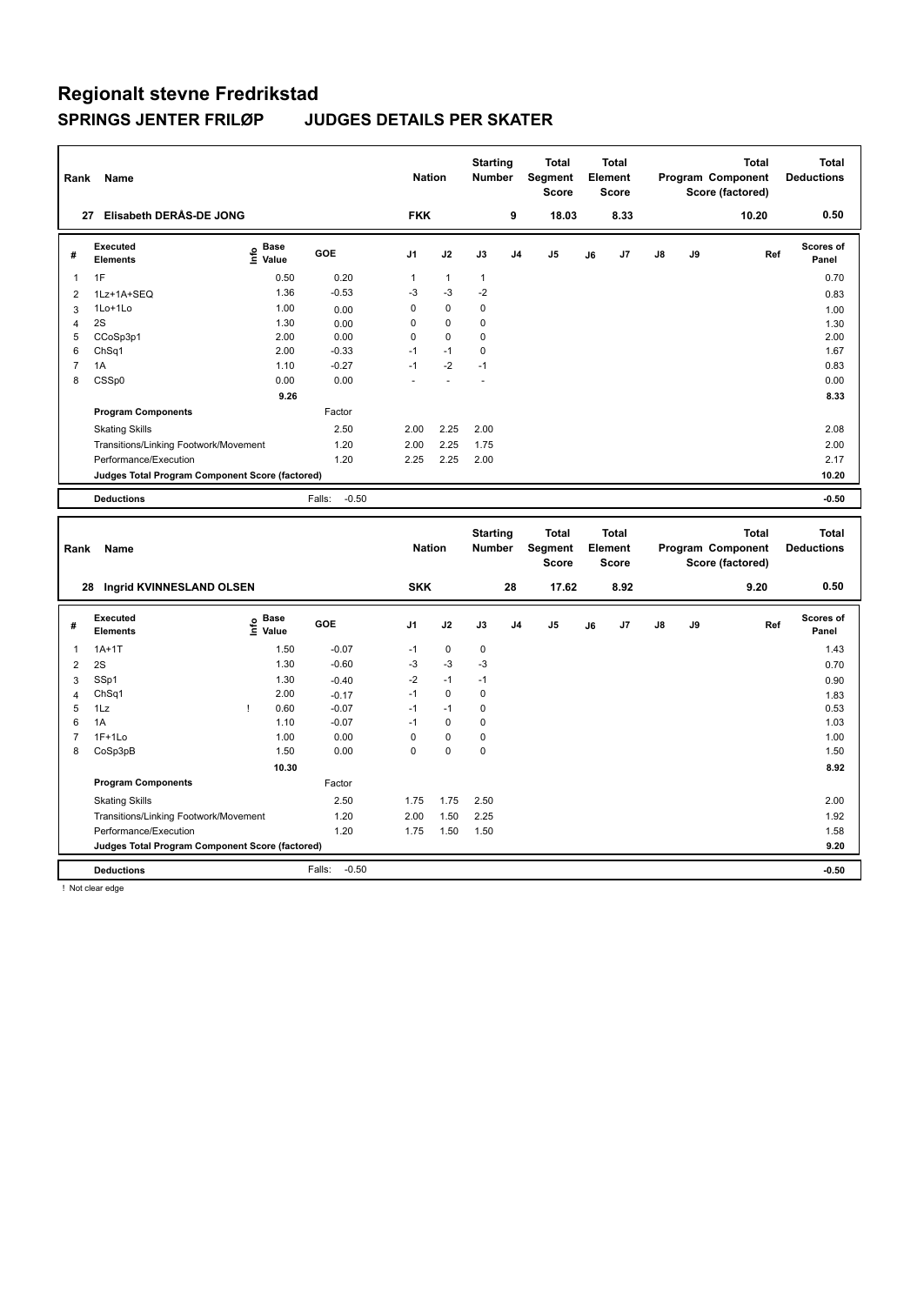| Rank             | Name                                            |                              |                   | <b>Nation</b> |              | <b>Starting</b><br><b>Number</b> |                | <b>Total</b><br>Segment<br><b>Score</b> |    | <b>Total</b><br>Element<br><b>Score</b> |    |    | <b>Total</b><br>Program Component<br>Score (factored) | <b>Total</b><br><b>Deductions</b> |
|------------------|-------------------------------------------------|------------------------------|-------------------|---------------|--------------|----------------------------------|----------------|-----------------------------------------|----|-----------------------------------------|----|----|-------------------------------------------------------|-----------------------------------|
|                  | 27 Elisabeth DERÅS-DE JONG                      |                              |                   | <b>FKK</b>    |              |                                  | 9              | 18.03                                   |    | 8.33                                    |    |    | 10.20                                                 | 0.50                              |
| #                | Executed<br><b>Elements</b>                     | <b>Base</b><br>١nfo<br>Value | GOE               | J1            | J2           | J3                               | J <sub>4</sub> | J <sub>5</sub>                          | J6 | J7                                      | J8 | J9 | Ref                                                   | Scores of<br>Panel                |
| 1                | 1F                                              | 0.50                         | 0.20              | $\mathbf{1}$  | $\mathbf{1}$ | $\mathbf{1}$                     |                |                                         |    |                                         |    |    |                                                       | 0.70                              |
| $\overline{2}$   | 1Lz+1A+SEQ                                      | 1.36                         | $-0.53$           | -3            | -3           | $-2$                             |                |                                         |    |                                         |    |    |                                                       | 0.83                              |
| 3                | 1Lo+1Lo                                         | 1.00                         | 0.00              | $\mathbf 0$   | $\mathbf 0$  | $\mathbf 0$                      |                |                                         |    |                                         |    |    |                                                       | 1.00                              |
| 4                | 2S                                              | 1.30                         | 0.00              | 0             | $\mathbf 0$  | $\mathbf 0$                      |                |                                         |    |                                         |    |    |                                                       | 1.30                              |
| 5                | CCoSp3p1                                        | 2.00                         | 0.00              | 0             | $\mathbf 0$  | $\mathbf 0$                      |                |                                         |    |                                         |    |    |                                                       | 2.00                              |
| 6                | ChSq1                                           | 2.00                         | $-0.33$           | $-1$          | $-1$         | 0                                |                |                                         |    |                                         |    |    |                                                       | 1.67                              |
| $\boldsymbol{7}$ | 1A                                              | 1.10                         | $-0.27$           | $-1$          | $-2$         | $-1$                             |                |                                         |    |                                         |    |    |                                                       | 0.83                              |
| 8                | CSSp0                                           | 0.00                         | 0.00              |               |              | L.                               |                |                                         |    |                                         |    |    |                                                       | 0.00                              |
|                  |                                                 | 9.26                         |                   |               |              |                                  |                |                                         |    |                                         |    |    |                                                       | 8.33                              |
|                  | <b>Program Components</b>                       |                              | Factor            |               |              |                                  |                |                                         |    |                                         |    |    |                                                       |                                   |
|                  | <b>Skating Skills</b>                           |                              | 2.50              | 2.00          | 2.25         | 2.00                             |                |                                         |    |                                         |    |    |                                                       | 2.08                              |
|                  | Transitions/Linking Footwork/Movement           |                              | 1.20              | 2.00          | 2.25         | 1.75                             |                |                                         |    |                                         |    |    |                                                       | 2.00                              |
|                  | Performance/Execution                           |                              | 1.20              | 2.25          | 2.25         | 2.00                             |                |                                         |    |                                         |    |    |                                                       | 2.17                              |
|                  | Judges Total Program Component Score (factored) |                              |                   |               |              |                                  |                |                                         |    |                                         |    |    |                                                       | 10.20                             |
|                  | <b>Deductions</b>                               |                              | Falls:<br>$-0.50$ |               |              |                                  |                |                                         |    |                                         |    |    |                                                       | $-0.50$                           |
|                  |                                                 |                              |                   |               |              |                                  |                |                                         |    |                                         |    |    |                                                       |                                   |
|                  |                                                 |                              |                   |               |              |                                  |                |                                         |    |                                         |    |    |                                                       |                                   |
| Rank             | Name                                            |                              |                   | <b>Nation</b> |              | <b>Starting</b><br><b>Number</b> |                | <b>Total</b><br>Segment<br><b>Score</b> |    | <b>Total</b><br>Element<br><b>Score</b> |    |    | <b>Total</b><br>Program Component<br>Score (factored) | <b>Total</b><br><b>Deductions</b> |
|                  | 28 Ingrid KVINNESLAND OLSEN                     |                              |                   | <b>SKK</b>    |              |                                  | 28             | 17.62                                   |    | 8.92                                    |    |    | 9.20                                                  | 0.50                              |
| #                | Executed                                        | <b>Base</b>                  | GOE               | J1            | J2           | J3                               | J <sub>4</sub> | J <sub>5</sub>                          | J6 | J7                                      | J8 | J9 | Ref                                                   | Scores of                         |
|                  | <b>Elements</b>                                 | lnfo<br>Value                |                   |               |              |                                  |                |                                         |    |                                         |    |    |                                                       | Panel                             |
| 1                | $1A+1T$                                         | 1.50                         | $-0.07$           | $-1$          | 0            | 0                                |                |                                         |    |                                         |    |    |                                                       | 1.43                              |
| $\overline{2}$   | 2S                                              | 1.30                         | $-0.60$           | -3            | -3           | -3                               |                |                                         |    |                                         |    |    |                                                       | 0.70                              |
| 3                | SSp1                                            | 1.30                         | $-0.40$           | $-2$          | $-1$         | $-1$                             |                |                                         |    |                                         |    |    |                                                       | 0.90                              |
| 4                | Ch <sub>Sq1</sub>                               | 2.00                         | $-0.17$           | $-1$          | $\mathbf 0$  | 0                                |                |                                         |    |                                         |    |    |                                                       | 1.83                              |
| 5                | 1Lz                                             | 0.60<br>T                    | $-0.07$           | $-1$          | $-1$         | $\mathbf 0$                      |                |                                         |    |                                         |    |    |                                                       | 0.53                              |
| 6                | 1A                                              | 1.10                         | $-0.07$           | $-1$          | $\pmb{0}$    | 0                                |                |                                         |    |                                         |    |    |                                                       | 1.03                              |
| $\overline{7}$   | $1F+1Lo$                                        | 1.00                         | 0.00              | 0             | $\pmb{0}$    | 0                                |                |                                         |    |                                         |    |    |                                                       | 1.00                              |
| 8                | CoSp3pB                                         | 1.50                         | 0.00              | 0             | $\pmb{0}$    | $\pmb{0}$                        |                |                                         |    |                                         |    |    |                                                       | 1.50                              |
|                  |                                                 | 10.30                        |                   |               |              |                                  |                |                                         |    |                                         |    |    |                                                       | 8.92                              |
|                  | <b>Program Components</b>                       |                              | Factor            |               |              |                                  |                |                                         |    |                                         |    |    |                                                       |                                   |
|                  | <b>Skating Skills</b>                           |                              | 2.50              | 1.75          | 1.75         | 2.50                             |                |                                         |    |                                         |    |    |                                                       | 2.00                              |
|                  | Transitions/Linking Footwork/Movement           |                              | 1.20              | 2.00          | 1.50         | 2.25                             |                |                                         |    |                                         |    |    |                                                       | 1.92                              |
|                  | Performance/Execution                           |                              | 1.20              | 1.75          | 1.50         | 1.50                             |                |                                         |    |                                         |    |    |                                                       | 1.58                              |
|                  | Judges Total Program Component Score (factored) |                              | $-0.50$<br>Falls: |               |              |                                  |                |                                         |    |                                         |    |    |                                                       | 9.20<br>$-0.50$                   |

! Not clear edge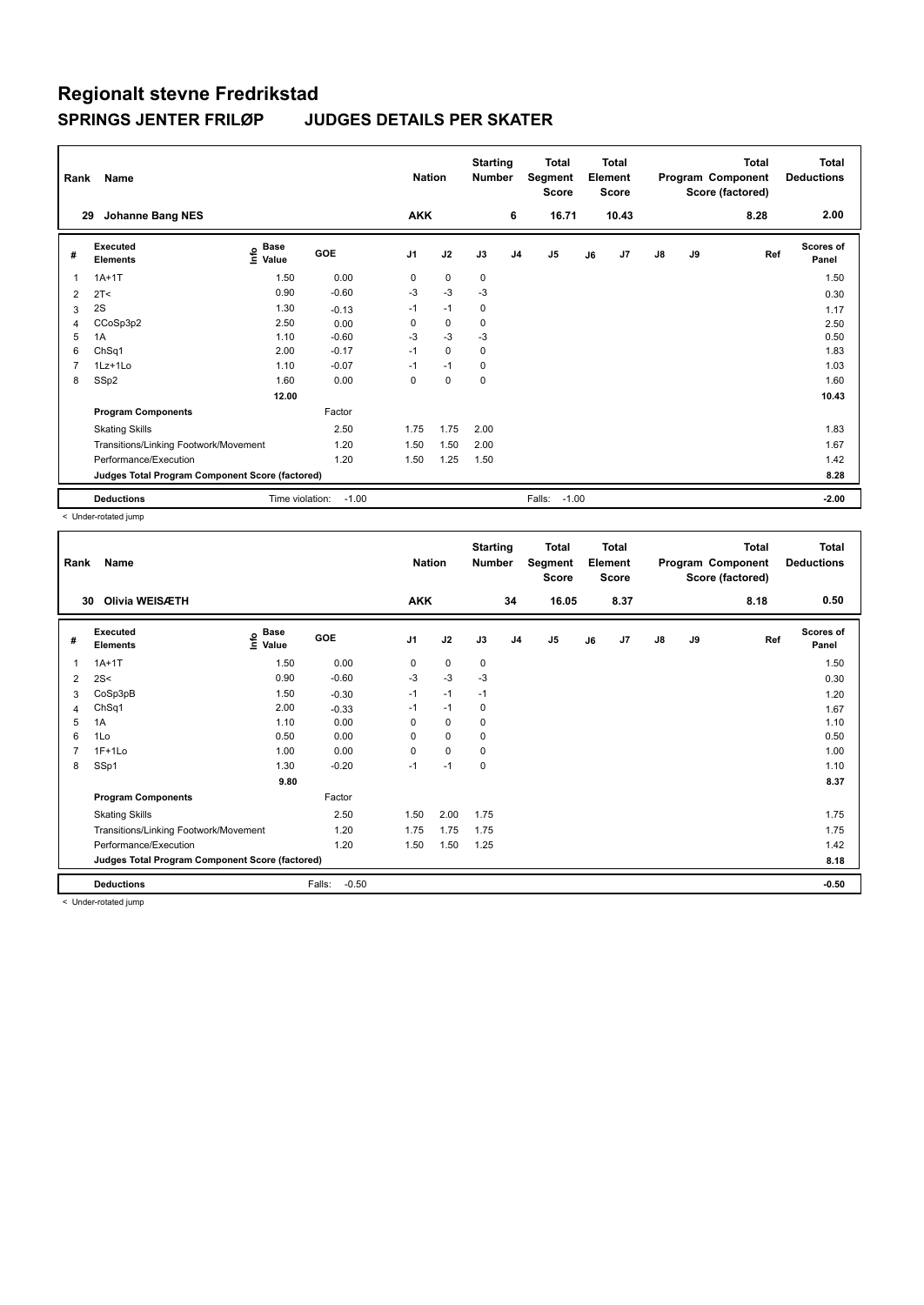| Rank | Name                                            |                                    |            | <b>Nation</b>  |             | <b>Starting</b><br><b>Number</b> |                | Total<br>Segment<br><b>Score</b> |    | Total<br>Element<br><b>Score</b> |    |    | <b>Total</b><br>Program Component<br>Score (factored) | <b>Total</b><br><b>Deductions</b> |
|------|-------------------------------------------------|------------------------------------|------------|----------------|-------------|----------------------------------|----------------|----------------------------------|----|----------------------------------|----|----|-------------------------------------------------------|-----------------------------------|
| 29   | <b>Johanne Bang NES</b>                         |                                    |            | <b>AKK</b>     |             |                                  | 6              | 16.71                            |    | 10.43                            |    |    | 8.28                                                  | 2.00                              |
| #    | Executed<br><b>Elements</b>                     | <b>Base</b><br>$\frac{6}{5}$ Value | <b>GOE</b> | J <sub>1</sub> | J2          | J3                               | J <sub>4</sub> | J5                               | J6 | J7                               | J8 | J9 | Ref                                                   | Scores of<br>Panel                |
|      | $1A+1T$                                         | 1.50                               | 0.00       | 0              | $\mathbf 0$ | $\mathbf 0$                      |                |                                  |    |                                  |    |    |                                                       | 1.50                              |
| 2    | 2T <                                            | 0.90                               | $-0.60$    | $-3$           | $-3$        | $-3$                             |                |                                  |    |                                  |    |    |                                                       | 0.30                              |
| 3    | 2S                                              | 1.30                               | $-0.13$    | $-1$           | $-1$        | 0                                |                |                                  |    |                                  |    |    |                                                       | 1.17                              |
| 4    | CCoSp3p2                                        | 2.50                               | 0.00       | 0              | $\mathbf 0$ | $\mathbf 0$                      |                |                                  |    |                                  |    |    |                                                       | 2.50                              |
| 5    | 1A                                              | 1.10                               | $-0.60$    | $-3$           | -3          | $-3$                             |                |                                  |    |                                  |    |    |                                                       | 0.50                              |
| 6    | ChSq1                                           | 2.00                               | $-0.17$    | $-1$           | 0           | $\mathbf 0$                      |                |                                  |    |                                  |    |    |                                                       | 1.83                              |
| 7    | $1Lz+1Lo$                                       | 1.10                               | $-0.07$    | $-1$           | $-1$        | $\mathbf 0$                      |                |                                  |    |                                  |    |    |                                                       | 1.03                              |
| 8    | SSp2                                            | 1.60                               | 0.00       | $\Omega$       | $\mathbf 0$ | $\mathbf 0$                      |                |                                  |    |                                  |    |    |                                                       | 1.60                              |
|      |                                                 | 12.00                              |            |                |             |                                  |                |                                  |    |                                  |    |    |                                                       | 10.43                             |
|      | <b>Program Components</b>                       |                                    | Factor     |                |             |                                  |                |                                  |    |                                  |    |    |                                                       |                                   |
|      | <b>Skating Skills</b>                           |                                    | 2.50       | 1.75           | 1.75        | 2.00                             |                |                                  |    |                                  |    |    |                                                       | 1.83                              |
|      | Transitions/Linking Footwork/Movement           |                                    | 1.20       | 1.50           | 1.50        | 2.00                             |                |                                  |    |                                  |    |    |                                                       | 1.67                              |
|      | Performance/Execution                           |                                    | 1.20       | 1.50           | 1.25        | 1.50                             |                |                                  |    |                                  |    |    |                                                       | 1.42                              |
|      | Judges Total Program Component Score (factored) |                                    |            |                |             |                                  |                |                                  |    |                                  |    |    |                                                       | 8.28                              |
|      | <b>Deductions</b>                               | Time violation:                    | $-1.00$    |                |             |                                  |                | $-1.00$<br>Falls:                |    |                                  |    |    |                                                       | $-2.00$                           |

< Under-rotated jump

| Rank           | Name                                            |                                  |                   | <b>Nation</b>  |             | <b>Starting</b><br><b>Number</b> |                | <b>Total</b><br>Segment<br><b>Score</b> |    | <b>Total</b><br>Element<br><b>Score</b> |               |    | <b>Total</b><br>Program Component<br>Score (factored) | Total<br><b>Deductions</b> |
|----------------|-------------------------------------------------|----------------------------------|-------------------|----------------|-------------|----------------------------------|----------------|-----------------------------------------|----|-----------------------------------------|---------------|----|-------------------------------------------------------|----------------------------|
| 30             | Olivia WEISÆTH                                  |                                  |                   | <b>AKK</b>     |             |                                  | 34             | 16.05                                   |    | 8.37                                    |               |    | 8.18                                                  | 0.50                       |
| #              | Executed<br><b>Elements</b>                     | <b>Base</b><br>e Base<br>⊑ Value | <b>GOE</b>        | J <sub>1</sub> | J2          | J3                               | J <sub>4</sub> | J <sub>5</sub>                          | J6 | J7                                      | $\mathsf{J}8$ | J9 | Ref                                                   | <b>Scores of</b><br>Panel  |
| 1              | $1A+1T$                                         | 1.50                             | 0.00              | 0              | $\mathbf 0$ | 0                                |                |                                         |    |                                         |               |    |                                                       | 1.50                       |
| 2              | 2S<                                             | 0.90                             | $-0.60$           | $-3$           | $-3$        | $-3$                             |                |                                         |    |                                         |               |    |                                                       | 0.30                       |
| 3              | CoSp3pB                                         | 1.50                             | $-0.30$           | $-1$           | $-1$        | $-1$                             |                |                                         |    |                                         |               |    |                                                       | 1.20                       |
| 4              | ChSq1                                           | 2.00                             | $-0.33$           | $-1$           | $-1$        | 0                                |                |                                         |    |                                         |               |    |                                                       | 1.67                       |
| 5              | 1A                                              | 1.10                             | 0.00              | 0              | $\pmb{0}$   | 0                                |                |                                         |    |                                         |               |    |                                                       | 1.10                       |
| 6              | 1Lo                                             | 0.50                             | 0.00              | 0              | 0           | 0                                |                |                                         |    |                                         |               |    |                                                       | 0.50                       |
| $\overline{7}$ | $1F+1Lo$                                        | 1.00                             | 0.00              | 0              | $\mathbf 0$ | 0                                |                |                                         |    |                                         |               |    |                                                       | 1.00                       |
| 8              | SSp1                                            | 1.30                             | $-0.20$           | $-1$           | $-1$        | 0                                |                |                                         |    |                                         |               |    |                                                       | 1.10                       |
|                |                                                 | 9.80                             |                   |                |             |                                  |                |                                         |    |                                         |               |    |                                                       | 8.37                       |
|                | <b>Program Components</b>                       |                                  | Factor            |                |             |                                  |                |                                         |    |                                         |               |    |                                                       |                            |
|                | <b>Skating Skills</b>                           |                                  | 2.50              | 1.50           | 2.00        | 1.75                             |                |                                         |    |                                         |               |    |                                                       | 1.75                       |
|                | Transitions/Linking Footwork/Movement           |                                  | 1.20              | 1.75           | 1.75        | 1.75                             |                |                                         |    |                                         |               |    |                                                       | 1.75                       |
|                | Performance/Execution                           |                                  | 1.20              | 1.50           | 1.50        | 1.25                             |                |                                         |    |                                         |               |    |                                                       | 1.42                       |
|                | Judges Total Program Component Score (factored) |                                  |                   |                |             |                                  |                |                                         |    |                                         |               |    |                                                       | 8.18                       |
|                | <b>Deductions</b>                               |                                  | Falls:<br>$-0.50$ |                |             |                                  |                |                                         |    |                                         |               |    |                                                       | $-0.50$                    |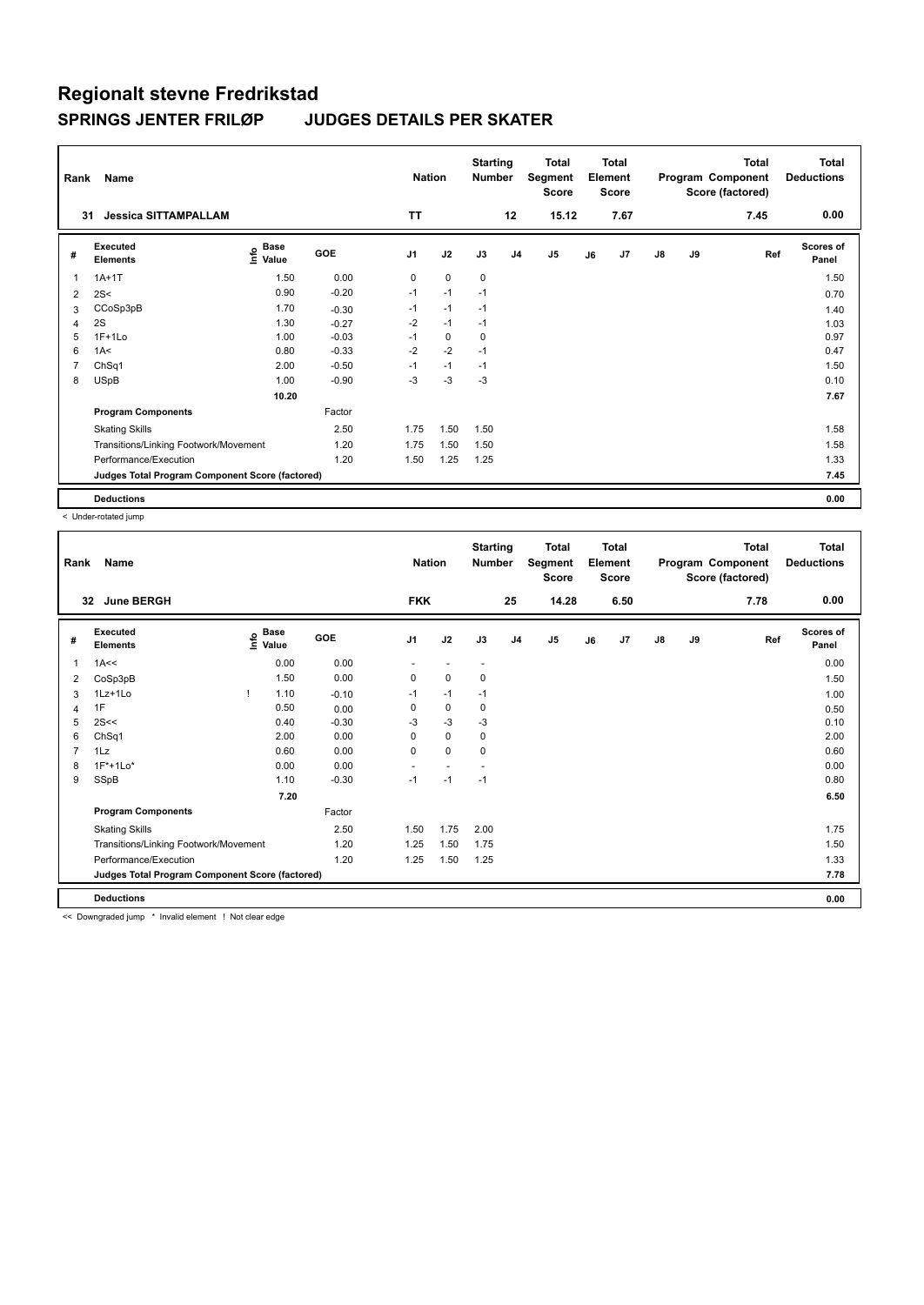| Rank | Name                                            |                                           |            | <b>Nation</b>  |             | <b>Starting</b><br><b>Number</b> |                | <b>Total</b><br>Segment<br><b>Score</b> |    | <b>Total</b><br>Element<br><b>Score</b> |               |    | <b>Total</b><br>Program Component<br>Score (factored) | <b>Total</b><br><b>Deductions</b> |
|------|-------------------------------------------------|-------------------------------------------|------------|----------------|-------------|----------------------------------|----------------|-----------------------------------------|----|-----------------------------------------|---------------|----|-------------------------------------------------------|-----------------------------------|
|      | 31<br><b>Jessica SITTAMPALLAM</b>               |                                           |            | <b>TT</b>      |             |                                  | 12             | 15.12                                   |    | 7.67                                    |               |    | 7.45                                                  | 0.00                              |
| #    | Executed<br><b>Elements</b>                     | $\frac{6}{5}$ Base<br>$\frac{1}{5}$ Value | <b>GOE</b> | J <sub>1</sub> | J2          | J3                               | J <sub>4</sub> | J <sub>5</sub>                          | J6 | J7                                      | $\mathsf{J}8$ | J9 | Ref                                                   | <b>Scores of</b><br>Panel         |
| 1    | $1A+1T$                                         | 1.50                                      | 0.00       | 0              | $\mathbf 0$ | 0                                |                |                                         |    |                                         |               |    |                                                       | 1.50                              |
| 2    | 2S<                                             | 0.90                                      | $-0.20$    | $-1$           | $-1$        | $-1$                             |                |                                         |    |                                         |               |    |                                                       | 0.70                              |
| 3    | CCoSp3pB                                        | 1.70                                      | $-0.30$    | $-1$           | $-1$        | $-1$                             |                |                                         |    |                                         |               |    |                                                       | 1.40                              |
| 4    | 2S                                              | 1.30                                      | $-0.27$    | $-2$           | $-1$        | $-1$                             |                |                                         |    |                                         |               |    |                                                       | 1.03                              |
| 5    | $1F+1Lo$                                        | 1.00                                      | $-0.03$    | $-1$           | $\mathbf 0$ | 0                                |                |                                         |    |                                         |               |    |                                                       | 0.97                              |
| 6    | 1A<                                             | 0.80                                      | $-0.33$    | $-2$           | $-2$        | $-1$                             |                |                                         |    |                                         |               |    |                                                       | 0.47                              |
|      | ChSq1                                           | 2.00                                      | $-0.50$    | $-1$           | $-1$        | $-1$                             |                |                                         |    |                                         |               |    |                                                       | 1.50                              |
| 8    | <b>USpB</b>                                     | 1.00                                      | $-0.90$    | $-3$           | -3          | $-3$                             |                |                                         |    |                                         |               |    |                                                       | 0.10                              |
|      |                                                 | 10.20                                     |            |                |             |                                  |                |                                         |    |                                         |               |    |                                                       | 7.67                              |
|      | <b>Program Components</b>                       |                                           | Factor     |                |             |                                  |                |                                         |    |                                         |               |    |                                                       |                                   |
|      | <b>Skating Skills</b>                           |                                           | 2.50       | 1.75           | 1.50        | 1.50                             |                |                                         |    |                                         |               |    |                                                       | 1.58                              |
|      | Transitions/Linking Footwork/Movement           |                                           | 1.20       | 1.75           | 1.50        | 1.50                             |                |                                         |    |                                         |               |    |                                                       | 1.58                              |
|      | Performance/Execution                           |                                           | 1.20       | 1.50           | 1.25        | 1.25                             |                |                                         |    |                                         |               |    |                                                       | 1.33                              |
|      | Judges Total Program Component Score (factored) |                                           |            |                |             |                                  |                |                                         |    |                                         |               |    |                                                       | 7.45                              |
|      | <b>Deductions</b>                               |                                           |            |                |             |                                  |                |                                         |    |                                         |               |    |                                                       | 0.00                              |

< Under-rotated jump

| Rank | Name                                            |   |                                  |            | <b>Nation</b>  |                          | <b>Starting</b><br><b>Number</b> |                | <b>Total</b><br>Segment<br><b>Score</b> |    | <b>Total</b><br>Element<br><b>Score</b> |               |    | <b>Total</b><br>Program Component<br>Score (factored) | <b>Total</b><br><b>Deductions</b> |
|------|-------------------------------------------------|---|----------------------------------|------------|----------------|--------------------------|----------------------------------|----------------|-----------------------------------------|----|-----------------------------------------|---------------|----|-------------------------------------------------------|-----------------------------------|
| 32   | <b>June BERGH</b>                               |   |                                  |            | <b>FKK</b>     |                          |                                  | 25             | 14.28                                   |    | 6.50                                    |               |    | 7.78                                                  | 0.00                              |
| #    | Executed<br><b>Elements</b>                     |   | <b>Base</b><br>e Base<br>⊆ Value | <b>GOE</b> | J <sub>1</sub> | J2                       | J3                               | J <sub>4</sub> | J5                                      | J6 | J7                                      | $\mathsf{J}8$ | J9 | Ref                                                   | <b>Scores of</b><br>Panel         |
| 1    | 1A<<                                            |   | 0.00                             | 0.00       |                |                          | $\overline{\phantom{a}}$         |                |                                         |    |                                         |               |    |                                                       | 0.00                              |
| 2    | CoSp3pB                                         |   | 1.50                             | 0.00       | 0              | $\mathbf 0$              | 0                                |                |                                         |    |                                         |               |    |                                                       | 1.50                              |
| 3    | 1Lz+1Lo                                         | Ţ | 1.10                             | $-0.10$    | $-1$           | $-1$                     | $-1$                             |                |                                         |    |                                         |               |    |                                                       | 1.00                              |
| 4    | 1F                                              |   | 0.50                             | 0.00       | 0              | $\mathbf 0$              | 0                                |                |                                         |    |                                         |               |    |                                                       | 0.50                              |
| 5    | 2S<<                                            |   | 0.40                             | $-0.30$    | $-3$           | $-3$                     | -3                               |                |                                         |    |                                         |               |    |                                                       | 0.10                              |
| 6    | ChSq1                                           |   | 2.00                             | 0.00       | 0              | $\mathbf 0$              | 0                                |                |                                         |    |                                         |               |    |                                                       | 2.00                              |
|      | 1Lz                                             |   | 0.60                             | 0.00       | 0              | $\mathbf 0$              | $\mathbf 0$                      |                |                                         |    |                                         |               |    |                                                       | 0.60                              |
| 8    | $1F*+1Lo*$                                      |   | 0.00                             | 0.00       | ٠              | $\overline{\phantom{a}}$ | $\overline{\phantom{a}}$         |                |                                         |    |                                         |               |    |                                                       | 0.00                              |
| 9    | SSpB                                            |   | 1.10                             | $-0.30$    | $-1$           | $-1$                     | $-1$                             |                |                                         |    |                                         |               |    |                                                       | 0.80                              |
|      |                                                 |   | 7.20                             |            |                |                          |                                  |                |                                         |    |                                         |               |    |                                                       | 6.50                              |
|      | <b>Program Components</b>                       |   |                                  | Factor     |                |                          |                                  |                |                                         |    |                                         |               |    |                                                       |                                   |
|      | <b>Skating Skills</b>                           |   |                                  | 2.50       | 1.50           | 1.75                     | 2.00                             |                |                                         |    |                                         |               |    |                                                       | 1.75                              |
|      | Transitions/Linking Footwork/Movement           |   |                                  | 1.20       | 1.25           | 1.50                     | 1.75                             |                |                                         |    |                                         |               |    |                                                       | 1.50                              |
|      | Performance/Execution                           |   |                                  | 1.20       | 1.25           | 1.50                     | 1.25                             |                |                                         |    |                                         |               |    |                                                       | 1.33                              |
|      | Judges Total Program Component Score (factored) |   |                                  |            |                |                          |                                  |                |                                         |    |                                         |               |    |                                                       | 7.78                              |
|      | <b>Deductions</b>                               |   |                                  |            |                |                          |                                  |                |                                         |    |                                         |               |    |                                                       | 0.00                              |

<< Downgraded jump \* Invalid element ! Not clear edge